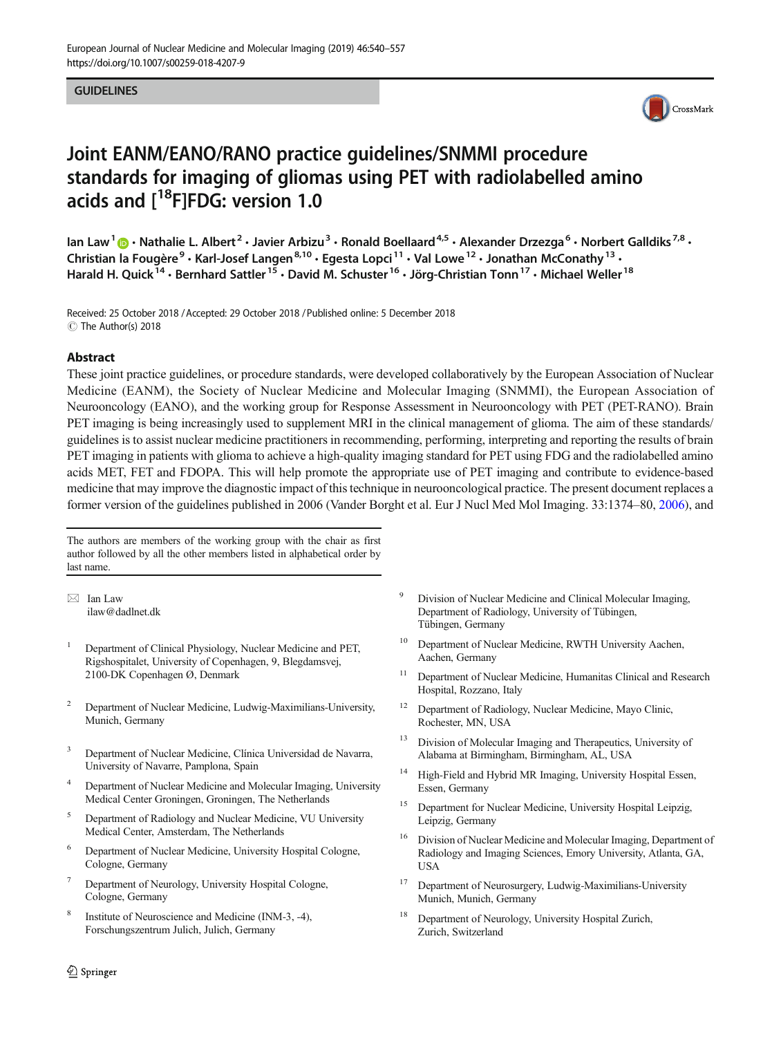#### **GUIDELINES**



# Joint EANM/EANO/RANO practice guidelines/SNMMI procedure standards for imaging of gliomas using PET with radiolabelled amino acids and  $[$ <sup>18</sup>FIFDG: version 1.0

Ian Law<sup>1</sup>  $\odot$  • Nathalie L. Albert<sup>2</sup> • Javier Arbizu<sup>3</sup> • Ronald Boellaard<sup>4,5</sup> • Alexander Drzezga<sup>6</sup> • Norbert Galldiks<sup>7,8</sup> • Christian la Fougère<sup>9</sup> • Karl-Josef Langen<sup>8,10</sup> • Egesta Lopci<sup>11</sup> • Val Lowe<sup>12</sup> • Jonathan McConathy<sup>13</sup> • Harald H. Quick<sup>14</sup> · Bernhard Sattler<sup>15</sup> · David M. Schuster<sup>16</sup> · Jörg-Christian Tonn<sup>17</sup> · Michael Weller<sup>18</sup>

Received: 25 October 2018 /Accepted: 29 October 2018 /Published online: 5 December 2018 C The Author(s) 2018

#### Abstract

These joint practice guidelines, or procedure standards, were developed collaboratively by the European Association of Nuclear Medicine (EANM), the Society of Nuclear Medicine and Molecular Imaging (SNMMI), the European Association of Neurooncology (EANO), and the working group for Response Assessment in Neurooncology with PET (PET-RANO). Brain PET imaging is being increasingly used to supplement MRI in the clinical management of glioma. The aim of these standards/ guidelines is to assist nuclear medicine practitioners in recommending, performing, interpreting and reporting the results of brain PET imaging in patients with glioma to achieve a high-quality imaging standard for PET using FDG and the radiolabelled amino acids MET, FET and FDOPA. This will help promote the appropriate use of PET imaging and contribute to evidence-based medicine that may improve the diagnostic impact of this technique in neurooncological practice. The present document replaces a former version of the guidelines published in 2006 (Vander Borght et al. Eur J Nucl Med Mol Imaging. 33:1374–80, [2006](#page-14-0)), and

The authors are members of the working group with the chair as first author followed by all the other members listed in alphabetical order by last name.

 $\boxtimes$  Ian Law [ilaw@dadlnet.dk](mailto:ilaw@dadlnet.dk)

- <sup>1</sup> Department of Clinical Physiology, Nuclear Medicine and PET, Rigshospitalet, University of Copenhagen, 9, Blegdamsvej, 2100-DK Copenhagen Ø, Denmark
- <sup>2</sup> Department of Nuclear Medicine, Ludwig-Maximilians-University, Munich, Germany
- <sup>3</sup> Department of Nuclear Medicine, Clínica Universidad de Navarra, University of Navarre, Pamplona, Spain
- <sup>4</sup> Department of Nuclear Medicine and Molecular Imaging, University Medical Center Groningen, Groningen, The Netherlands
- <sup>5</sup> Department of Radiology and Nuclear Medicine, VU University Medical Center, Amsterdam, The Netherlands
- <sup>6</sup> Department of Nuclear Medicine, University Hospital Cologne, Cologne, Germany
- Department of Neurology, University Hospital Cologne, Cologne, Germany
- <sup>8</sup> Institute of Neuroscience and Medicine (INM-3, -4), Forschungszentrum Julich, Julich, Germany
- Division of Nuclear Medicine and Clinical Molecular Imaging, Department of Radiology, University of Tübingen, Tübingen, Germany
- <sup>10</sup> Department of Nuclear Medicine, RWTH University Aachen, Aachen, Germany
- <sup>11</sup> Department of Nuclear Medicine, Humanitas Clinical and Research Hospital, Rozzano, Italy
- <sup>12</sup> Department of Radiology, Nuclear Medicine, Mayo Clinic, Rochester, MN, USA
- <sup>13</sup> Division of Molecular Imaging and Therapeutics, University of Alabama at Birmingham, Birmingham, AL, USA
- <sup>14</sup> High-Field and Hybrid MR Imaging, University Hospital Essen, Essen, Germany
- <sup>15</sup> Department for Nuclear Medicine, University Hospital Leipzig, Leipzig, Germany
- <sup>16</sup> Division of Nuclear Medicine and Molecular Imaging, Department of Radiology and Imaging Sciences, Emory University, Atlanta, GA, USA
- <sup>17</sup> Department of Neurosurgery, Ludwig-Maximilians-University Munich, Munich, Germany
- <sup>18</sup> Department of Neurology, University Hospital Zurich, Zurich, Switzerland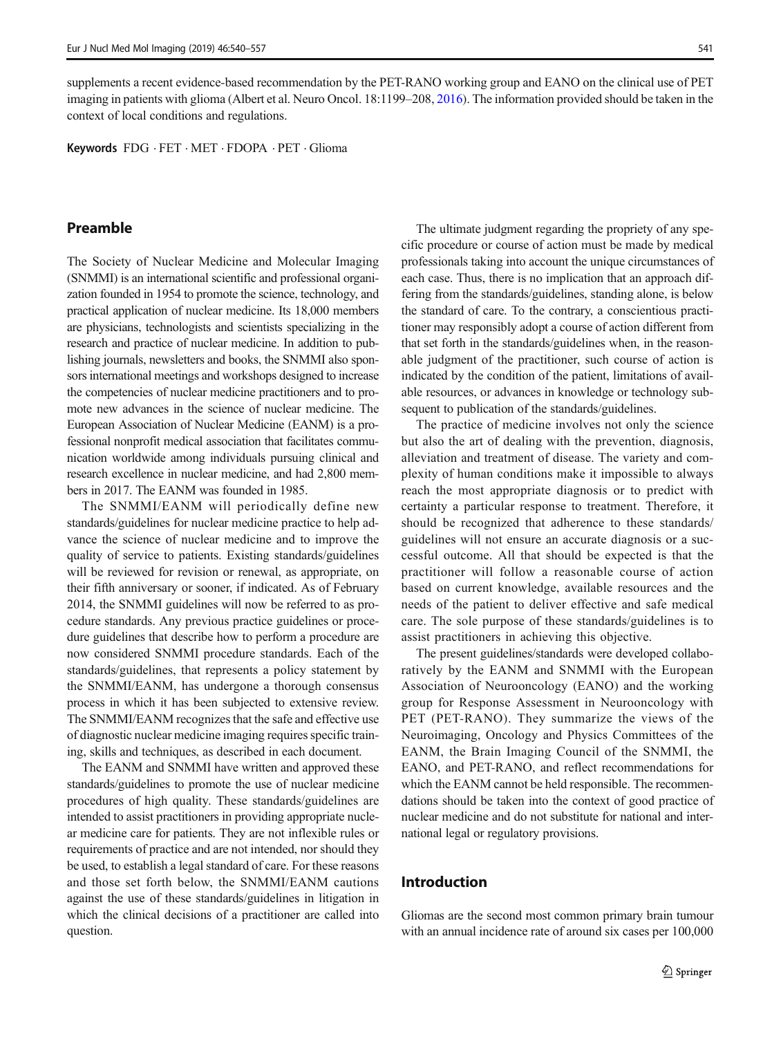supplements a recent evidence-based recommendation by the PET-RANO working group and EANO on the clinical use of PET imaging in patients with glioma (Albert et al. Neuro Oncol. 18:1199–208, [2016\)](#page-14-0). The information provided should be taken in the context of local conditions and regulations.

Keywords FDG . FET . MET . FDOPA . PET . Glioma

# Preamble

The Society of Nuclear Medicine and Molecular Imaging (SNMMI) is an international scientific and professional organization founded in 1954 to promote the science, technology, and practical application of nuclear medicine. Its 18,000 members are physicians, technologists and scientists specializing in the research and practice of nuclear medicine. In addition to publishing journals, newsletters and books, the SNMMI also sponsors international meetings and workshops designed to increase the competencies of nuclear medicine practitioners and to promote new advances in the science of nuclear medicine. The European Association of Nuclear Medicine (EANM) is a professional nonprofit medical association that facilitates communication worldwide among individuals pursuing clinical and research excellence in nuclear medicine, and had 2,800 members in 2017. The EANM was founded in 1985.

The SNMMI/EANM will periodically define new standards/guidelines for nuclear medicine practice to help advance the science of nuclear medicine and to improve the quality of service to patients. Existing standards/guidelines will be reviewed for revision or renewal, as appropriate, on their fifth anniversary or sooner, if indicated. As of February 2014, the SNMMI guidelines will now be referred to as procedure standards. Any previous practice guidelines or procedure guidelines that describe how to perform a procedure are now considered SNMMI procedure standards. Each of the standards/guidelines, that represents a policy statement by the SNMMI/EANM, has undergone a thorough consensus process in which it has been subjected to extensive review. The SNMMI/EANM recognizes that the safe and effective use of diagnostic nuclear medicine imaging requires specific training, skills and techniques, as described in each document.

The EANM and SNMMI have written and approved these standards/guidelines to promote the use of nuclear medicine procedures of high quality. These standards/guidelines are intended to assist practitioners in providing appropriate nuclear medicine care for patients. They are not inflexible rules or requirements of practice and are not intended, nor should they be used, to establish a legal standard of care. For these reasons and those set forth below, the SNMMI/EANM cautions against the use of these standards/guidelines in litigation in which the clinical decisions of a practitioner are called into question.

The ultimate judgment regarding the propriety of any specific procedure or course of action must be made by medical professionals taking into account the unique circumstances of each case. Thus, there is no implication that an approach differing from the standards/guidelines, standing alone, is below the standard of care. To the contrary, a conscientious practitioner may responsibly adopt a course of action different from that set forth in the standards/guidelines when, in the reasonable judgment of the practitioner, such course of action is indicated by the condition of the patient, limitations of available resources, or advances in knowledge or technology subsequent to publication of the standards/guidelines.

The practice of medicine involves not only the science but also the art of dealing with the prevention, diagnosis, alleviation and treatment of disease. The variety and complexity of human conditions make it impossible to always reach the most appropriate diagnosis or to predict with certainty a particular response to treatment. Therefore, it should be recognized that adherence to these standards/ guidelines will not ensure an accurate diagnosis or a successful outcome. All that should be expected is that the practitioner will follow a reasonable course of action based on current knowledge, available resources and the needs of the patient to deliver effective and safe medical care. The sole purpose of these standards/guidelines is to assist practitioners in achieving this objective.

The present guidelines/standards were developed collaboratively by the EANM and SNMMI with the European Association of Neurooncology (EANO) and the working group for Response Assessment in Neurooncology with PET (PET-RANO). They summarize the views of the Neuroimaging, Oncology and Physics Committees of the EANM, the Brain Imaging Council of the SNMMI, the EANO, and PET-RANO, and reflect recommendations for which the EANM cannot be held responsible. The recommendations should be taken into the context of good practice of nuclear medicine and do not substitute for national and international legal or regulatory provisions.

# Introduction

Gliomas are the second most common primary brain tumour with an annual incidence rate of around six cases per 100,000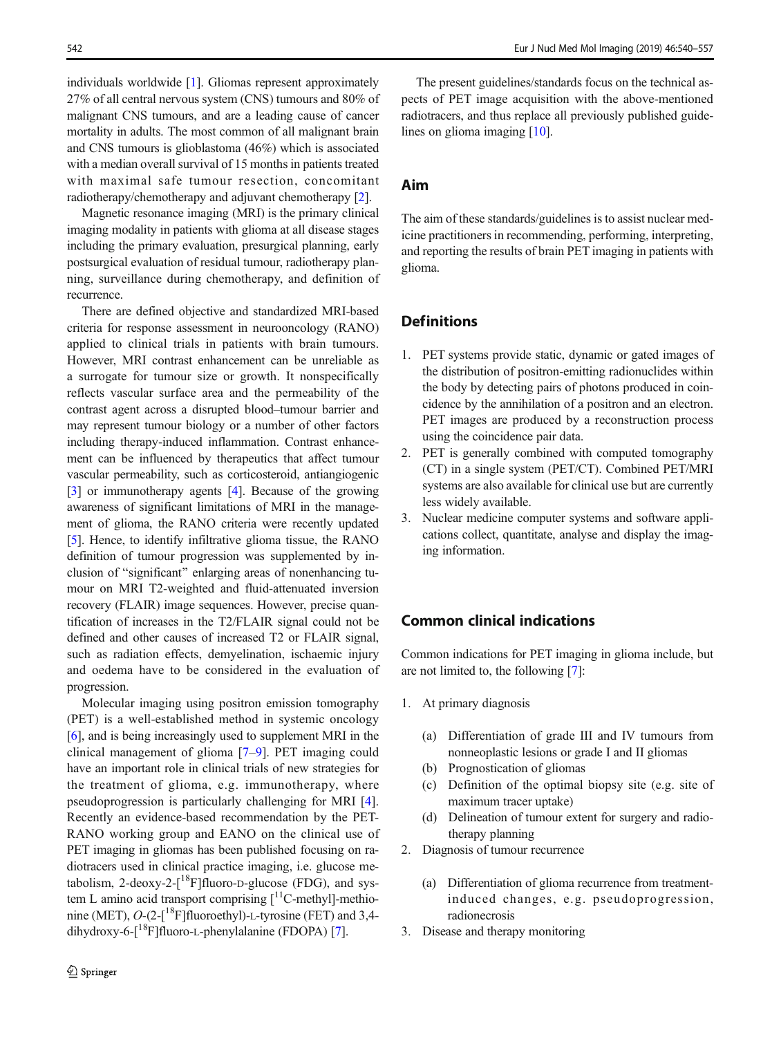<span id="page-2-0"></span>individuals worldwide [\[1\]](#page-14-0). Gliomas represent approximately 27% of all central nervous system (CNS) tumours and 80% of malignant CNS tumours, and are a leading cause of cancer mortality in adults. The most common of all malignant brain and CNS tumours is glioblastoma (46%) which is associated with a median overall survival of 15 months in patients treated with maximal safe tumour resection, concomitant radiotherapy/chemotherapy and adjuvant chemotherapy [\[2](#page-14-0)].

Magnetic resonance imaging (MRI) is the primary clinical imaging modality in patients with glioma at all disease stages including the primary evaluation, presurgical planning, early postsurgical evaluation of residual tumour, radiotherapy planning, surveillance during chemotherapy, and definition of recurrence.

There are defined objective and standardized MRI-based criteria for response assessment in neurooncology (RANO) applied to clinical trials in patients with brain tumours. However, MRI contrast enhancement can be unreliable as a surrogate for tumour size or growth. It nonspecifically reflects vascular surface area and the permeability of the contrast agent across a disrupted blood–tumour barrier and may represent tumour biology or a number of other factors including therapy-induced inflammation. Contrast enhancement can be influenced by therapeutics that affect tumour vascular permeability, such as corticosteroid, antiangiogenic [\[3](#page-14-0)] or immunotherapy agents [[4\]](#page-14-0). Because of the growing awareness of significant limitations of MRI in the management of glioma, the RANO criteria were recently updated [\[5](#page-14-0)]. Hence, to identify infiltrative glioma tissue, the RANO definition of tumour progression was supplemented by inclusion of "significant" enlarging areas of nonenhancing tumour on MRI T2-weighted and fluid-attenuated inversion recovery (FLAIR) image sequences. However, precise quantification of increases in the T2/FLAIR signal could not be defined and other causes of increased T2 or FLAIR signal, such as radiation effects, demyelination, ischaemic injury and oedema have to be considered in the evaluation of progression.

Molecular imaging using positron emission tomography (PET) is a well-established method in systemic oncology [\[6](#page-14-0)], and is being increasingly used to supplement MRI in the clinical management of glioma [[7](#page-14-0)–[9](#page-14-0)]. PET imaging could have an important role in clinical trials of new strategies for the treatment of glioma, e.g. immunotherapy, where pseudoprogression is particularly challenging for MRI [\[4](#page-14-0)]. Recently an evidence-based recommendation by the PET-RANO working group and EANO on the clinical use of PET imaging in gliomas has been published focusing on radiotracers used in clinical practice imaging, i.e. glucose metabolism, 2-deoxy-2- $[{}^{18}F]$ fluoro-D-glucose (FDG), and system L amino acid transport comprising  $\lceil$ <sup>11</sup>C-methyl]-methionine (MET),  $O-(2-[18F]$ fluoroethyl)-L-tyrosine (FET) and 3,4dihydroxy-6- $[^{18}F]$ fluoro-L-phenylalanine (FDOPA) [\[7](#page-14-0)].

The present guidelines/standards focus on the technical aspects of PET image acquisition with the above-mentioned radiotracers, and thus replace all previously published guidelines on glioma imaging [[10](#page-14-0)].

# Aim

The aim of these standards/guidelines is to assist nuclear medicine practitioners in recommending, performing, interpreting, and reporting the results of brain PET imaging in patients with glioma.

# **Definitions**

- 1. PET systems provide static, dynamic or gated images of the distribution of positron-emitting radionuclides within the body by detecting pairs of photons produced in coincidence by the annihilation of a positron and an electron. PET images are produced by a reconstruction process using the coincidence pair data.
- 2. PET is generally combined with computed tomography (CT) in a single system (PET/CT). Combined PET/MRI systems are also available for clinical use but are currently less widely available.
- 3. Nuclear medicine computer systems and software applications collect, quantitate, analyse and display the imaging information.

# Common clinical indications

Common indications for PET imaging in glioma include, but are not limited to, the following [[7\]](#page-14-0):

- 1. At primary diagnosis
	- (a) Differentiation of grade III and IV tumours from nonneoplastic lesions or grade I and II gliomas
	- (b) Prognostication of gliomas
	- (c) Definition of the optimal biopsy site (e.g. site of maximum tracer uptake)
	- (d) Delineation of tumour extent for surgery and radiotherapy planning
- 2. Diagnosis of tumour recurrence
	- (a) Differentiation of glioma recurrence from treatmentinduced changes, e.g. pseudoprogression, radionecrosis
- 3. Disease and therapy monitoring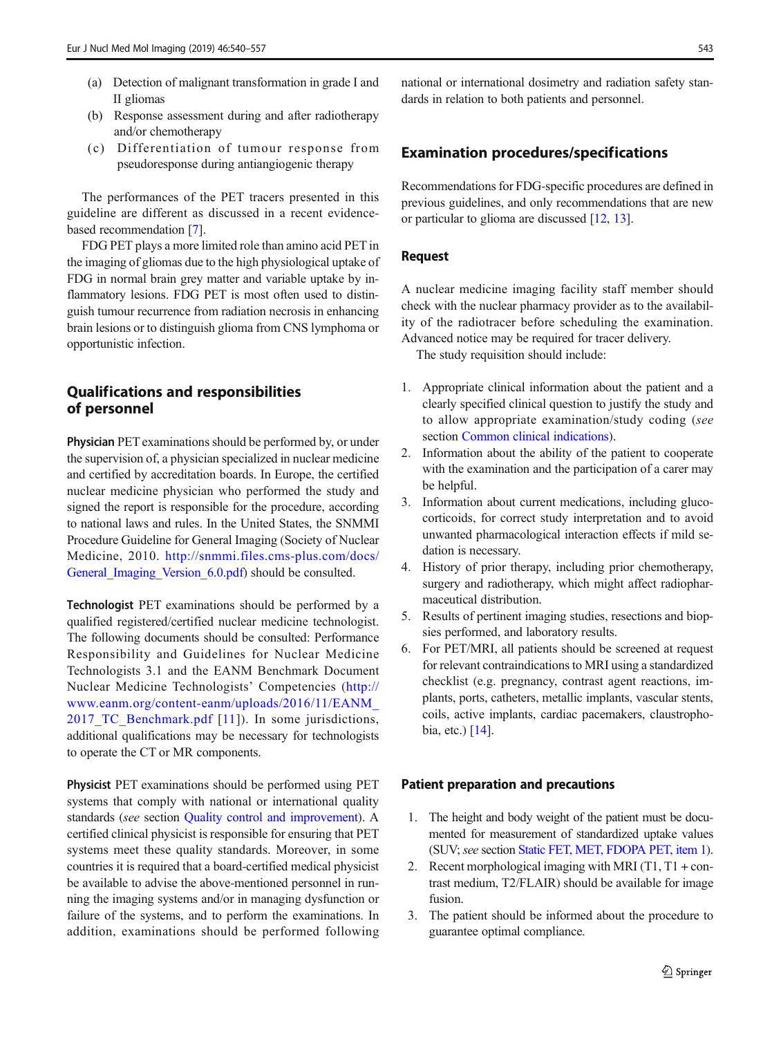- <span id="page-3-0"></span>(a) Detection of malignant transformation in grade I and II gliomas
- (b) Response assessment during and after radiotherapy and/or chemotherapy
- (c) Differentiation of tumour response from pseudoresponse during antiangiogenic therapy

The performances of the PET tracers presented in this guideline are different as discussed in a recent evidencebased recommendation [[7\]](#page-14-0).

FDG PET plays a more limited role than amino acid PET in the imaging of gliomas due to the high physiological uptake of FDG in normal brain grey matter and variable uptake by inflammatory lesions. FDG PET is most often used to distinguish tumour recurrence from radiation necrosis in enhancing brain lesions or to distinguish glioma from CNS lymphoma or opportunistic infection.

# Qualifications and responsibilities of personnel

Physician PET examinations should be performed by, or under the supervision of, a physician specialized in nuclear medicine and certified by accreditation boards. In Europe, the certified nuclear medicine physician who performed the study and signed the report is responsible for the procedure, according to national laws and rules. In the United States, the SNMMI Procedure Guideline for General Imaging (Society of Nuclear Medicine, 2010. [http://snmmi.files.cms-plus.com/docs/](http://snmmi.files.cms-plus.com/docs/General_Imaging_Version_6.0.pdf) General Imaging Version 6.0.pdf) should be consulted.

Technologist PET examinations should be performed by a qualified registered/certified nuclear medicine technologist. The following documents should be consulted: Performance Responsibility and Guidelines for Nuclear Medicine Technologists 3.1 and the EANM Benchmark Document Nuclear Medicine Technologists' Competencies ([http://](http://www.eanm.org/content-eanm/uploads/2016/11/EANM_2017_TC_Benchmark.pdf) [www.eanm.org/content-eanm/uploads/2016/11/EANM\\_](http://www.eanm.org/content-eanm/uploads/2016/11/EANM_2017_TC_Benchmark.pdf) [2017\\_TC\\_Benchmark.pdf](http://www.eanm.org/content-eanm/uploads/2016/11/EANM_2017_TC_Benchmark.pdf) [[11](#page-14-0)]). In some jurisdictions, additional qualifications may be necessary for technologists to operate the CT or MR components.

Physicist PET examinations should be performed using PET systems that comply with national or international quality standards (see section [Quality control and improvement\)](#page-12-0). A certified clinical physicist is responsible for ensuring that PET systems meet these quality standards. Moreover, in some countries it is required that a board-certified medical physicist be available to advise the above-mentioned personnel in running the imaging systems and/or in managing dysfunction or failure of the systems, and to perform the examinations. In addition, examinations should be performed following

national or international dosimetry and radiation safety standards in relation to both patients and personnel.

### Examination procedures/specifications

Recommendations for FDG-specific procedures are defined in previous guidelines, and only recommendations that are new or particular to glioma are discussed [\[12,](#page-14-0) [13\]](#page-14-0).

### Request

A nuclear medicine imaging facility staff member should check with the nuclear pharmacy provider as to the availability of the radiotracer before scheduling the examination. Advanced notice may be required for tracer delivery.

The study requisition should include:

- 1. Appropriate clinical information about the patient and a clearly specified clinical question to justify the study and to allow appropriate examination/study coding (see section [Common clinical indications](#page-2-0)).
- 2. Information about the ability of the patient to cooperate with the examination and the participation of a carer may be helpful.
- 3. Information about current medications, including glucocorticoids, for correct study interpretation and to avoid unwanted pharmacological interaction effects if mild sedation is necessary.
- 4. History of prior therapy, including prior chemotherapy, surgery and radiotherapy, which might affect radiopharmaceutical distribution.
- 5. Results of pertinent imaging studies, resections and biopsies performed, and laboratory results.
- 6. For PET/MRI, all patients should be screened at request for relevant contraindications to MRI using a standardized checklist (e.g. pregnancy, contrast agent reactions, implants, ports, catheters, metallic implants, vascular stents, coils, active implants, cardiac pacemakers, claustrophobia, etc.) [[14](#page-14-0)].

#### Patient preparation and precautions

- 1. The height and body weight of the patient must be documented for measurement of standardized uptake values (SUV; see section [Static FET, MET, FDOPA PET,](#page-6-0) item 1).
- 2. Recent morphological imaging with MRI (T1, T1 + contrast medium, T2/FLAIR) should be available for image fusion.
- 3. The patient should be informed about the procedure to guarantee optimal compliance.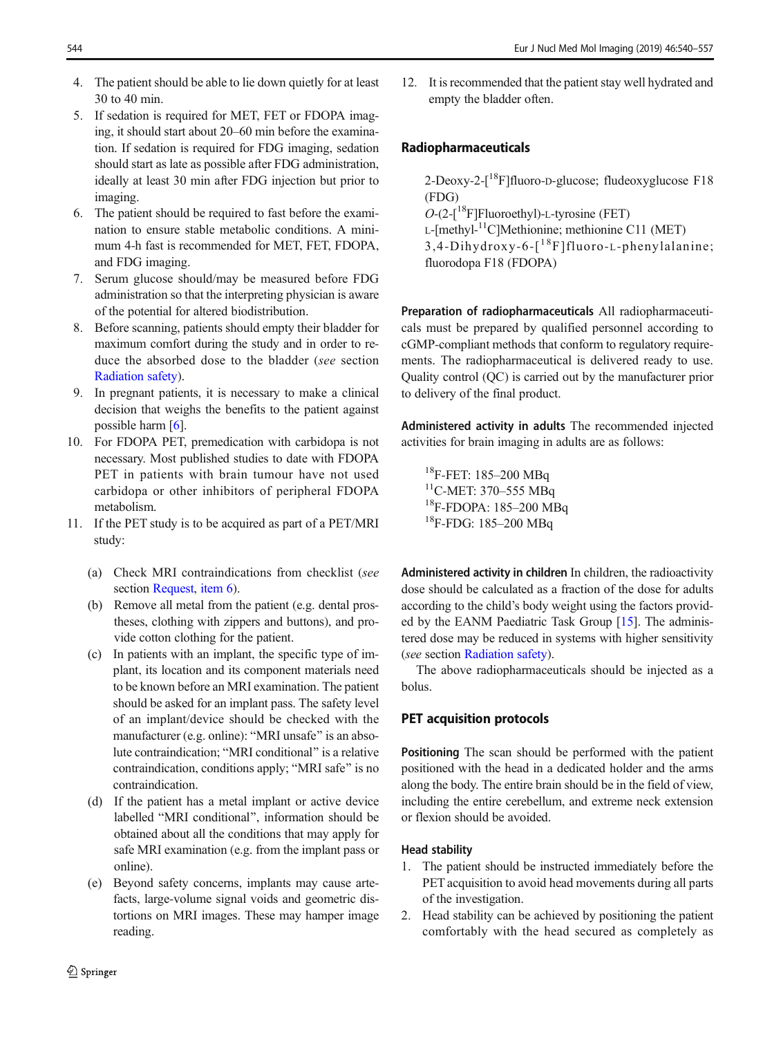$\hat{Z}$  Springer

- <span id="page-4-0"></span>4. The patient should be able to lie down quietly for at least 30 to 40 min.
- 5. If sedation is required for MET, FET or FDOPA imaging, it should start about 20–60 min before the examination. If sedation is required for FDG imaging, sedation should start as late as possible after FDG administration, ideally at least 30 min after FDG injection but prior to imaging.
- 6. The patient should be required to fast before the examination to ensure stable metabolic conditions. A minimum 4-h fast is recommended for MET, FET, FDOPA, and FDG imaging.
- 7. Serum glucose should/may be measured before FDG administration so that the interpreting physician is aware of the potential for altered biodistribution.
- 8. Before scanning, patients should empty their bladder for maximum comfort during the study and in order to reduce the absorbed dose to the bladder (see section [Radiation safety](#page-13-0)).
- 9. In pregnant patients, it is necessary to make a clinical decision that weighs the benefits to the patient against possible harm [\[6\]](#page-14-0).
- 10. For FDOPA PET, premedication with carbidopa is not necessary. Most published studies to date with FDOPA PET in patients with brain tumour have not used carbidopa or other inhibitors of peripheral FDOPA metabolism.
- 11. If the PET study is to be acquired as part of a PET/MRI study:
	- (a) Check MRI contraindications from checklist (see section [Request,](#page-3-0) item 6).
	- (b) Remove all metal from the patient (e.g. dental prostheses, clothing with zippers and buttons), and provide cotton clothing for the patient.
	- (c) In patients with an implant, the specific type of implant, its location and its component materials need to be known before an MRI examination. The patient should be asked for an implant pass. The safety level of an implant/device should be checked with the manufacturer (e.g. online): "MRI unsafe" is an absolute contraindication; "MRI conditional" is a relative contraindication, conditions apply; "MRI safe" is no contraindication.
	- (d) If the patient has a metal implant or active device labelled "MRI conditional", information should be obtained about all the conditions that may apply for safe MRI examination (e.g. from the implant pass or online).
	- (e) Beyond safety concerns, implants may cause artefacts, large-volume signal voids and geometric distortions on MRI images. These may hamper image reading.

12. It is recommended that the patient stay well hydrated and empty the bladder often.

# Radiopharmaceuticals

2-Deoxy-2-[18F]fluoro-D-glucose; fludeoxyglucose F18 (FDG)  $O$ -(2-[<sup>18</sup>F]Fluoroethyl)-L-tyrosine (FET) L-[methyl-11C]Methionine; methionine C11 (MET)

 $3,4$ -Dihydroxy-6- $[$ <sup>18</sup>F]fluoro-L-phenylalanine; fluorodopa F18 (FDOPA)

Preparation of radiopharmaceuticals All radiopharmaceuticals must be prepared by qualified personnel according to cGMP-compliant methods that conform to regulatory requirements. The radiopharmaceutical is delivered ready to use. Quality control (QC) is carried out by the manufacturer prior to delivery of the final product.

Administered activity in adults The recommended injected activities for brain imaging in adults are as follows:

 $^{18}$ F-FET: 185–200 MBq<br> $^{11}$ C-MET: 370–555 MBq 18F-FDOPA: 185–200 MBq <sup>18</sup>F-FDG: 185-200 MBq

Administered activity in children In children, the radioactivity dose should be calculated as a fraction of the dose for adults according to the child's body weight using the factors provided by the EANM Paediatric Task Group [\[15](#page-14-0)]. The administered dose may be reduced in systems with higher sensitivity (see section [Radiation safety](#page-13-0)).

The above radiopharmaceuticals should be injected as a bolus.

### PET acquisition protocols

Positioning The scan should be performed with the patient positioned with the head in a dedicated holder and the arms along the body. The entire brain should be in the field of view, including the entire cerebellum, and extreme neck extension or flexion should be avoided.

#### Head stability

- 1. The patient should be instructed immediately before the PET acquisition to avoid head movements during all parts of the investigation.
- 2. Head stability can be achieved by positioning the patient comfortably with the head secured as completely as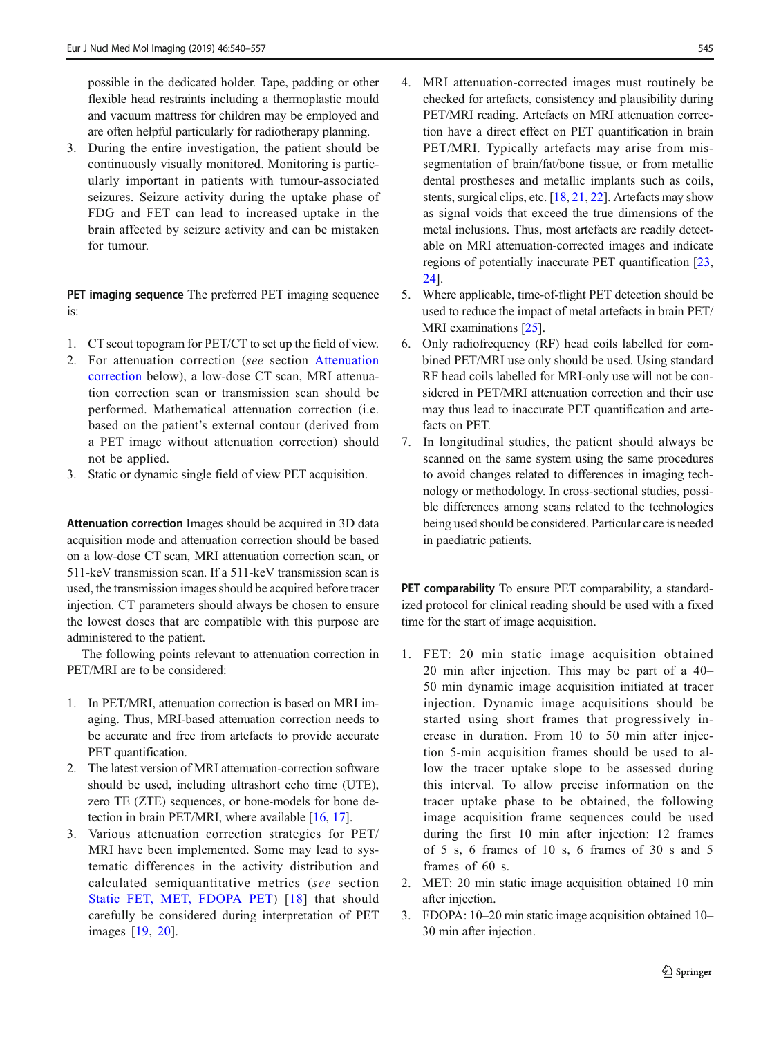possible in the dedicated holder. Tape, padding or other flexible head restraints including a thermoplastic mould and vacuum mattress for children may be employed and are often helpful particularly for radiotherapy planning.

3. During the entire investigation, the patient should be continuously visually monitored. Monitoring is particularly important in patients with tumour-associated seizures. Seizure activity during the uptake phase of FDG and FET can lead to increased uptake in the brain affected by seizure activity and can be mistaken for tumour.

PET imaging sequence The preferred PET imaging sequence is:

- 1. CT scout topogram for PET/CT to set up the field of view.
- 2. For attenuation correction (see section [Attenuation](#page-4-0) [correction](#page-4-0) below), a low-dose CT scan, MRI attenuation correction scan or transmission scan should be performed. Mathematical attenuation correction (i.e. based on the patient's external contour (derived from a PET image without attenuation correction) should not be applied.
- 3. Static or dynamic single field of view PET acquisition.

Attenuation correction Images should be acquired in 3D data acquisition mode and attenuation correction should be based on a low-dose CT scan, MRI attenuation correction scan, or 511-keV transmission scan. If a 511-keV transmission scan is used, the transmission images should be acquired before tracer injection. CT parameters should always be chosen to ensure the lowest doses that are compatible with this purpose are administered to the patient.

The following points relevant to attenuation correction in PET/MRI are to be considered:

- 1. In PET/MRI, attenuation correction is based on MRI imaging. Thus, MRI-based attenuation correction needs to be accurate and free from artefacts to provide accurate PET quantification.
- 2. The latest version of MRI attenuation-correction software should be used, including ultrashort echo time (UTE), zero TE (ZTE) sequences, or bone-models for bone detection in brain PET/MRI, where available [[16,](#page-14-0) [17](#page-14-0)].
- 3. Various attenuation correction strategies for PET/ MRI have been implemented. Some may lead to systematic differences in the activity distribution and calculated semiquantitative metrics (see section [Static FET, MET, FDOPA PET](#page-6-0)) [[18](#page-14-0)] that should carefully be considered during interpretation of PET images [\[19,](#page-14-0) [20](#page-14-0)].
- 4. MRI attenuation-corrected images must routinely be checked for artefacts, consistency and plausibility during PET/MRI reading. Artefacts on MRI attenuation correction have a direct effect on PET quantification in brain PET/MRI. Typically artefacts may arise from missegmentation of brain/fat/bone tissue, or from metallic dental prostheses and metallic implants such as coils, stents, surgical clips, etc. [\[18](#page-14-0), [21](#page-14-0), [22](#page-14-0)]. Artefacts may show as signal voids that exceed the true dimensions of the metal inclusions. Thus, most artefacts are readily detectable on MRI attenuation-corrected images and indicate regions of potentially inaccurate PET quantification [\[23,](#page-14-0) [24\]](#page-14-0).
- 5. Where applicable, time-of-flight PET detection should be used to reduce the impact of metal artefacts in brain PET/ MRI examinations [[25](#page-15-0)].
- 6. Only radiofrequency (RF) head coils labelled for combined PET/MRI use only should be used. Using standard RF head coils labelled for MRI-only use will not be considered in PET/MRI attenuation correction and their use may thus lead to inaccurate PET quantification and artefacts on PET.
- 7. In longitudinal studies, the patient should always be scanned on the same system using the same procedures to avoid changes related to differences in imaging technology or methodology. In cross-sectional studies, possible differences among scans related to the technologies being used should be considered. Particular care is needed in paediatric patients.

PET comparability To ensure PET comparability, a standardized protocol for clinical reading should be used with a fixed time for the start of image acquisition.

- 1. FET: 20 min static image acquisition obtained 20 min after injection. This may be part of a 40– 50 min dynamic image acquisition initiated at tracer injection. Dynamic image acquisitions should be started using short frames that progressively increase in duration. From 10 to 50 min after injection 5-min acquisition frames should be used to allow the tracer uptake slope to be assessed during this interval. To allow precise information on the tracer uptake phase to be obtained, the following image acquisition frame sequences could be used during the first 10 min after injection: 12 frames of 5 s, 6 frames of 10 s, 6 frames of 30 s and 5 frames of 60 s.
- 2. MET: 20 min static image acquisition obtained 10 min after injection.
- 3. FDOPA: 10–20 min static image acquisition obtained 10– 30 min after injection.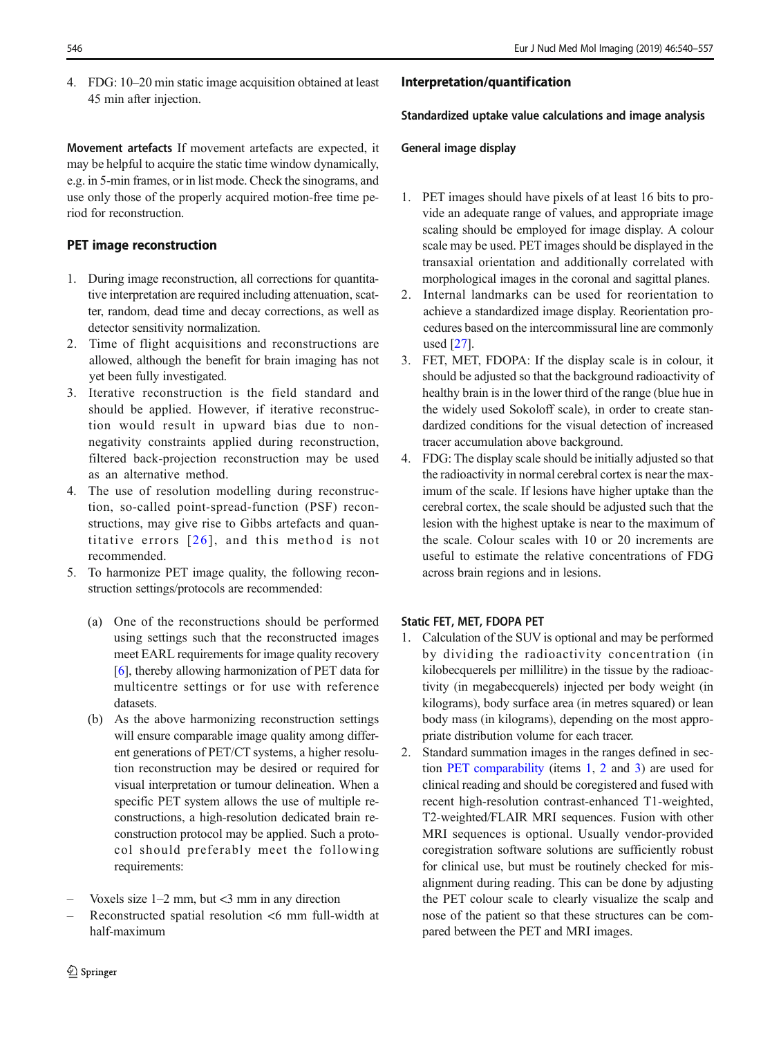<span id="page-6-0"></span>4. FDG: 10–20 min static image acquisition obtained at least 45 min after injection.

Movement artefacts If movement artefacts are expected, it may be helpful to acquire the static time window dynamically, e.g. in 5-min frames, or in list mode. Check the sinograms, and use only those of the properly acquired motion-free time period for reconstruction.

# PET image reconstruction

- 1. During image reconstruction, all corrections for quantitative interpretation are required including attenuation, scatter, random, dead time and decay corrections, as well as detector sensitivity normalization.
- 2. Time of flight acquisitions and reconstructions are allowed, although the benefit for brain imaging has not yet been fully investigated.
- 3. Iterative reconstruction is the field standard and should be applied. However, if iterative reconstruction would result in upward bias due to nonnegativity constraints applied during reconstruction, filtered back-projection reconstruction may be used as an alternative method.
- 4. The use of resolution modelling during reconstruction, so-called point-spread-function (PSF) reconstructions, may give rise to Gibbs artefacts and quantitative errors  $[26]$ , and this method is not recommended.
- 5. To harmonize PET image quality, the following reconstruction settings/protocols are recommended:
	- (a) One of the reconstructions should be performed using settings such that the reconstructed images meet EARL requirements for image quality recovery [\[6\]](#page-14-0), thereby allowing harmonization of PET data for multicentre settings or for use with reference datasets.
	- (b) As the above harmonizing reconstruction settings will ensure comparable image quality among different generations of PET/CT systems, a higher resolution reconstruction may be desired or required for visual interpretation or tumour delineation. When a specific PET system allows the use of multiple reconstructions, a high-resolution dedicated brain reconstruction protocol may be applied. Such a protocol should preferably meet the following requirements:
- Voxels size  $1-2$  mm, but <3 mm in any direction
- Reconstructed spatial resolution <6 mm full-width at half-maximum

# Interpretation/quantification

# Standardized uptake value calculations and image analysis

### General image display

- 1. PET images should have pixels of at least 16 bits to provide an adequate range of values, and appropriate image scaling should be employed for image display. A colour scale may be used. PET images should be displayed in the transaxial orientation and additionally correlated with morphological images in the coronal and sagittal planes.
- 2. Internal landmarks can be used for reorientation to achieve a standardized image display. Reorientation procedures based on the intercommissural line are commonly used [[27](#page-15-0)].
- 3. FET, MET, FDOPA: If the display scale is in colour, it should be adjusted so that the background radioactivity of healthy brain is in the lower third of the range (blue hue in the widely used Sokoloff scale), in order to create standardized conditions for the visual detection of increased tracer accumulation above background.
- 4. FDG: The display scale should be initially adjusted so that the radioactivity in normal cerebral cortex is near the maximum of the scale. If lesions have higher uptake than the cerebral cortex, the scale should be adjusted such that the lesion with the highest uptake is near to the maximum of the scale. Colour scales with 10 or 20 increments are useful to estimate the relative concentrations of FDG across brain regions and in lesions.

## Static FET, MET, FDOPA PET

- 1. Calculation of the SUV is optional and may be performed by dividing the radioactivity concentration (in kilobecquerels per millilitre) in the tissue by the radioactivity (in megabecquerels) injected per body weight (in kilograms), body surface area (in metres squared) or lean body mass (in kilograms), depending on the most appropriate distribution volume for each tracer.
- 2. Standard summation images in the ranges defined in section [PET comparability](#page-4-0) (items 1, 2 and 3) are used for clinical reading and should be coregistered and fused with recent high-resolution contrast-enhanced T1-weighted, T2-weighted/FLAIR MRI sequences. Fusion with other MRI sequences is optional. Usually vendor-provided coregistration software solutions are sufficiently robust for clinical use, but must be routinely checked for misalignment during reading. This can be done by adjusting the PET colour scale to clearly visualize the scalp and nose of the patient so that these structures can be compared between the PET and MRI images.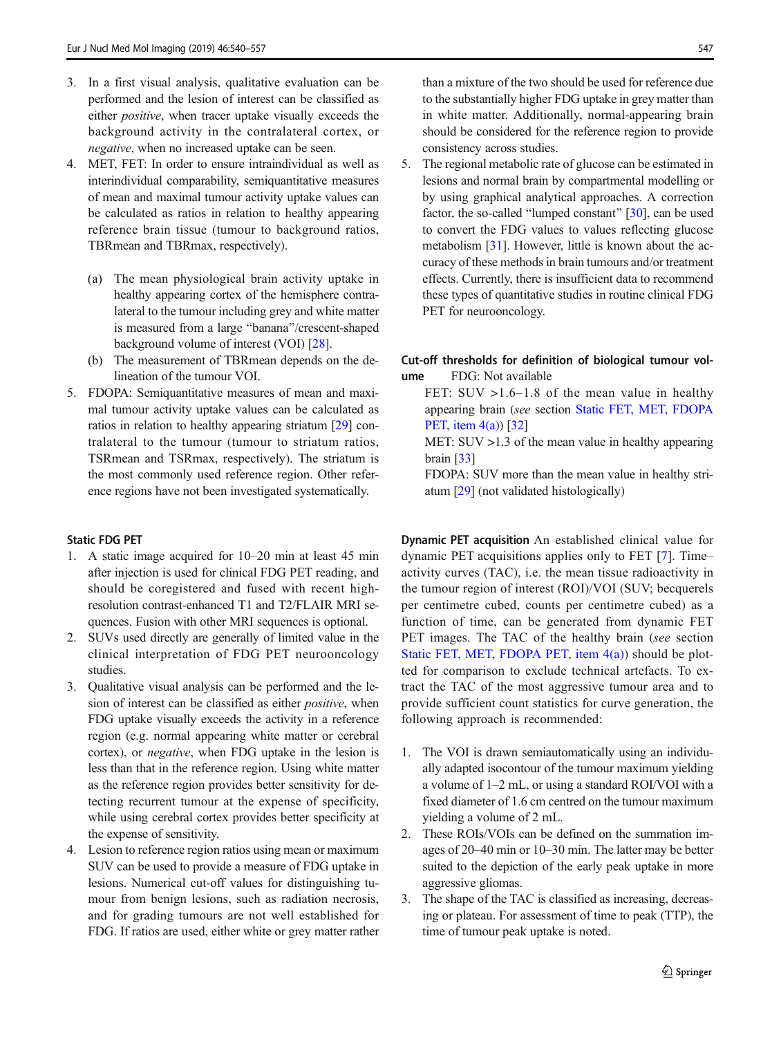- 3. In a first visual analysis, qualitative evaluation can be performed and the lesion of interest can be classified as either positive, when tracer uptake visually exceeds the background activity in the contralateral cortex, or negative, when no increased uptake can be seen.
- 4. MET, FET: In order to ensure intraindividual as well as interindividual comparability, semiquantitative measures of mean and maximal tumour activity uptake values can be calculated as ratios in relation to healthy appearing reference brain tissue (tumour to background ratios, TBRmean and TBRmax, respectively).
	- (a) The mean physiological brain activity uptake in healthy appearing cortex of the hemisphere contralateral to the tumour including grey and white matter is measured from a large "banana"/crescent-shaped background volume of interest (VOI) [\[28\]](#page-15-0).
	- (b) The measurement of TBRmean depends on the delineation of the tumour VOI.
- 5. FDOPA: Semiquantitative measures of mean and maximal tumour activity uptake values can be calculated as ratios in relation to healthy appearing striatum [[29\]](#page-15-0) contralateral to the tumour (tumour to striatum ratios, TSRmean and TSRmax, respectively). The striatum is the most commonly used reference region. Other reference regions have not been investigated systematically.

#### Static FDG PET

- 1. A static image acquired for 10–20 min at least 45 min after injection is used for clinical FDG PET reading, and should be coregistered and fused with recent highresolution contrast-enhanced T1 and T2/FLAIR MRI sequences. Fusion with other MRI sequences is optional.
- 2. SUVs used directly are generally of limited value in the clinical interpretation of FDG PET neurooncology studies.
- 3. Qualitative visual analysis can be performed and the lesion of interest can be classified as either *positive*, when FDG uptake visually exceeds the activity in a reference region (e.g. normal appearing white matter or cerebral cortex), or negative, when FDG uptake in the lesion is less than that in the reference region. Using white matter as the reference region provides better sensitivity for detecting recurrent tumour at the expense of specificity, while using cerebral cortex provides better specificity at the expense of sensitivity.
- 4. Lesion to reference region ratios using mean or maximum SUV can be used to provide a measure of FDG uptake in lesions. Numerical cut-off values for distinguishing tumour from benign lesions, such as radiation necrosis, and for grading tumours are not well established for FDG. If ratios are used, either white or grey matter rather

than a mixture of the two should be used for reference due to the substantially higher FDG uptake in grey matter than in white matter. Additionally, normal-appearing brain should be considered for the reference region to provide consistency across studies.

5. The regional metabolic rate of glucose can be estimated in lesions and normal brain by compartmental modelling or by using graphical analytical approaches. A correction factor, the so-called "lumped constant"  $[30]$  $[30]$ , can be used to convert the FDG values to values reflecting glucose metabolism [[31](#page-15-0)]. However, little is known about the accuracy of these methods in brain tumours and/or treatment effects. Currently, there is insufficient data to recommend these types of quantitative studies in routine clinical FDG PET for neurooncology.

### Cut-off thresholds for definition of biological tumour volume FDG: Not available

FET: SUV >1.6–1.8 of the mean value in healthy appearing brain (see section [Static FET, MET, FDOPA](#page-6-0) [PET,](#page-6-0) item 4(a)) [[32\]](#page-15-0)

MET: SUV > 1.3 of the mean value in healthy appearing brain [[33](#page-15-0)]

FDOPA: SUV more than the mean value in healthy striatum [\[29](#page-15-0)] (not validated histologically)

Dynamic PET acquisition An established clinical value for dynamic PET acquisitions applies only to FET [\[7](#page-14-0)]. Time– activity curves (TAC), i.e. the mean tissue radioactivity in the tumour region of interest (ROI)/VOI (SUV; becquerels per centimetre cubed, counts per centimetre cubed) as a function of time, can be generated from dynamic FET PET images. The TAC of the healthy brain (see section [Static FET, MET, FDOPA PET,](#page-6-0) item  $4(a)$ ) should be plotted for comparison to exclude technical artefacts. To extract the TAC of the most aggressive tumour area and to provide sufficient count statistics for curve generation, the following approach is recommended:

- 1. The VOI is drawn semiautomatically using an individually adapted isocontour of the tumour maximum yielding a volume of 1–2 mL, or using a standard ROI/VOI with a fixed diameter of 1.6 cm centred on the tumour maximum yielding a volume of 2 mL.
- 2. These ROIs/VOIs can be defined on the summation images of 20–40 min or 10–30 min. The latter may be better suited to the depiction of the early peak uptake in more aggressive gliomas.
- 3. The shape of the TAC is classified as increasing, decreasing or plateau. For assessment of time to peak (TTP), the time of tumour peak uptake is noted.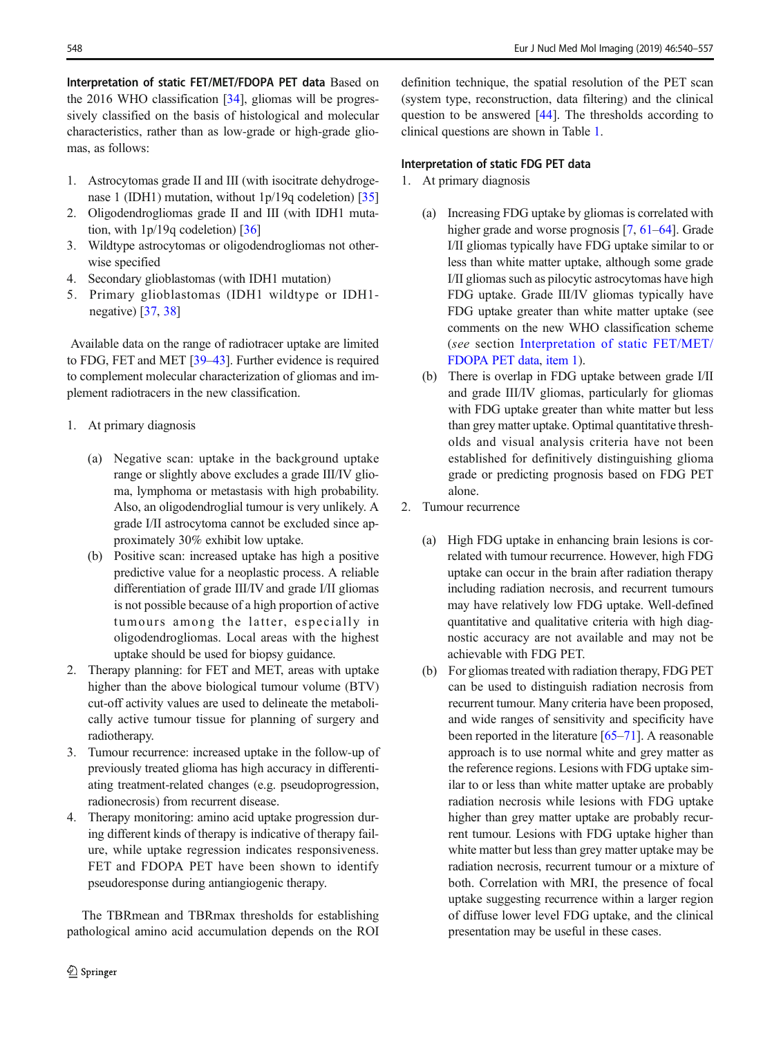Interpretation of static FET/MET/FDOPA PET data Based on the 2016 WHO classification [\[34\]](#page-15-0), gliomas will be progressively classified on the basis of histological and molecular characteristics, rather than as low-grade or high-grade gliomas, as follows:

- 1. Astrocytomas grade II and III (with isocitrate dehydrogenase 1 (IDH1) mutation, without 1p/19q codeletion) [\[35\]](#page-15-0)
- 2. Oligodendrogliomas grade II and III (with IDH1 mutation, with 1p/19q codeletion) [\[36\]](#page-15-0)
- 3. Wildtype astrocytomas or oligodendrogliomas not otherwise specified
- 4. Secondary glioblastomas (with IDH1 mutation)
- 5. Primary glioblastomas (IDH1 wildtype or IDH1 negative) [[37,](#page-15-0) [38\]](#page-15-0)

Available data on the range of radiotracer uptake are limited to FDG, FET and MET [[39](#page-15-0)–[43](#page-15-0)]. Further evidence is required to complement molecular characterization of gliomas and implement radiotracers in the new classification.

- 1. At primary diagnosis
	- (a) Negative scan: uptake in the background uptake range or slightly above excludes a grade III/IV glioma, lymphoma or metastasis with high probability. Also, an oligodendroglial tumour is very unlikely. A grade I/II astrocytoma cannot be excluded since approximately 30% exhibit low uptake.
	- (b) Positive scan: increased uptake has high a positive predictive value for a neoplastic process. A reliable differentiation of grade III/IV and grade I/II gliomas is not possible because of a high proportion of active tumours among the latter, especially in oligodendrogliomas. Local areas with the highest uptake should be used for biopsy guidance.
- 2. Therapy planning: for FET and MET, areas with uptake higher than the above biological tumour volume (BTV) cut-off activity values are used to delineate the metabolically active tumour tissue for planning of surgery and radiotherapy.
- 3. Tumour recurrence: increased uptake in the follow-up of previously treated glioma has high accuracy in differentiating treatment-related changes (e.g. pseudoprogression, radionecrosis) from recurrent disease.
- 4. Therapy monitoring: amino acid uptake progression during different kinds of therapy is indicative of therapy failure, while uptake regression indicates responsiveness. FET and FDOPA PET have been shown to identify pseudoresponse during antiangiogenic therapy.

The TBRmean and TBRmax thresholds for establishing pathological amino acid accumulation depends on the ROI

 $\hat{Z}$  Springer

definition technique, the spatial resolution of the PET scan (system type, reconstruction, data filtering) and the clinical question to be answered [[44\]](#page-15-0). The thresholds according to clinical questions are shown in Table [1.](#page-9-0)

### Interpretation of static FDG PET data

- 1. At primary diagnosis
	- (a) Increasing FDG uptake by gliomas is correlated with higher grade and worse prognosis [\[7](#page-14-0), [61](#page-16-0)–[64](#page-16-0)]. Grade I/II gliomas typically have FDG uptake similar to or less than white matter uptake, although some grade I/II gliomas such as pilocytic astrocytomas have high FDG uptake. Grade III/IV gliomas typically have FDG uptake greater than white matter uptake (see comments on the new WHO classification scheme (see section [Interpretation of static FET/MET/](#page-6-0) [FDOPA PET data](#page-6-0), item 1).
	- (b) There is overlap in FDG uptake between grade I/II and grade III/IV gliomas, particularly for gliomas with FDG uptake greater than white matter but less than grey matter uptake. Optimal quantitative thresholds and visual analysis criteria have not been established for definitively distinguishing glioma grade or predicting prognosis based on FDG PET alone.
- 2. Tumour recurrence
	- (a) High FDG uptake in enhancing brain lesions is correlated with tumour recurrence. However, high FDG uptake can occur in the brain after radiation therapy including radiation necrosis, and recurrent tumours may have relatively low FDG uptake. Well-defined quantitative and qualitative criteria with high diagnostic accuracy are not available and may not be achievable with FDG PET.
	- (b) For gliomas treated with radiation therapy, FDG PET can be used to distinguish radiation necrosis from recurrent tumour. Many criteria have been proposed, and wide ranges of sensitivity and specificity have been reported in the literature [\[65](#page-16-0)–[71\]](#page-16-0). A reasonable approach is to use normal white and grey matter as the reference regions. Lesions with FDG uptake similar to or less than white matter uptake are probably radiation necrosis while lesions with FDG uptake higher than grey matter uptake are probably recurrent tumour. Lesions with FDG uptake higher than white matter but less than grey matter uptake may be radiation necrosis, recurrent tumour or a mixture of both. Correlation with MRI, the presence of focal uptake suggesting recurrence within a larger region of diffuse lower level FDG uptake, and the clinical presentation may be useful in these cases.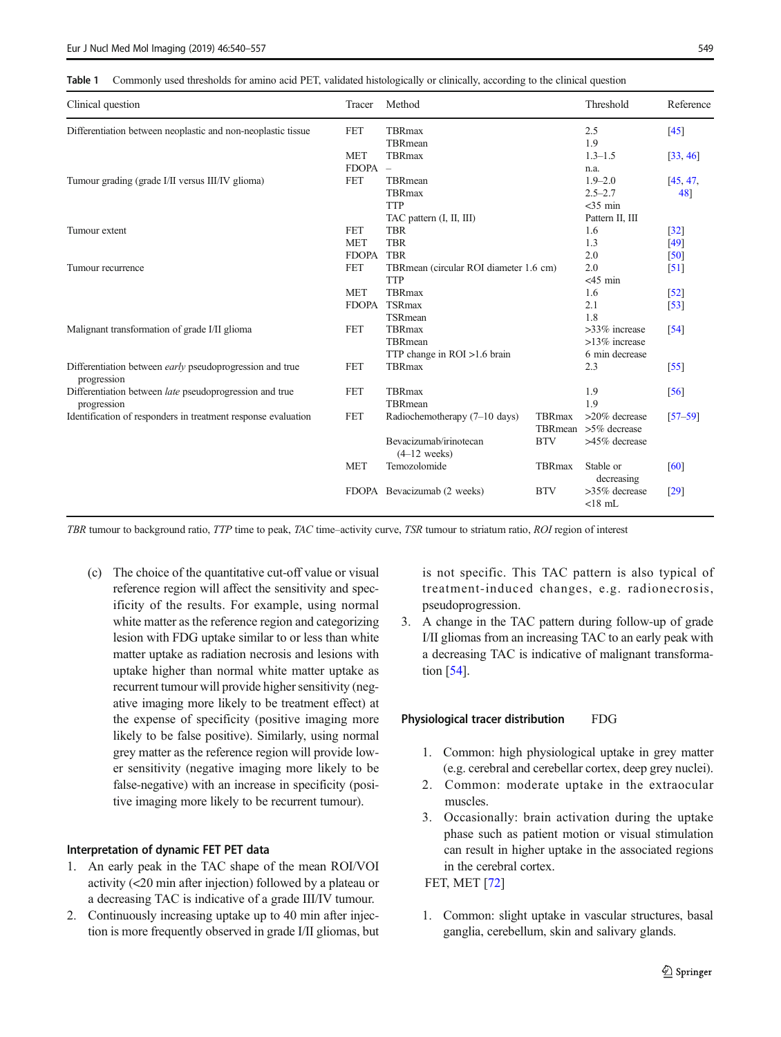<span id="page-9-0"></span>

| Table 1 Commonly used thresholds for amino acid PET, validated histologically or clinically, according to the clinical question |  |  |
|---------------------------------------------------------------------------------------------------------------------------------|--|--|
|                                                                                                                                 |  |  |

| Clinical question                                                              | Tracer       | Method                                   |                   | Threshold                     | Reference          |
|--------------------------------------------------------------------------------|--------------|------------------------------------------|-------------------|-------------------------------|--------------------|
| Differentiation between neoplastic and non-neoplastic tissue                   | <b>FET</b>   | TBRmax                                   |                   | 2.5                           | [45]               |
|                                                                                |              | TBRmean                                  |                   | 1.9                           |                    |
|                                                                                | <b>MET</b>   | TBRmax                                   |                   | $1.3 - 1.5$                   | [33, 46]           |
|                                                                                | $FDOPA$ –    |                                          |                   | n.a.                          |                    |
| Tumour grading (grade I/II versus III/IV glioma)                               | <b>FET</b>   | TBRmean                                  |                   | $1.9 - 2.0$                   | [45, 47]           |
|                                                                                |              | TBRmax                                   |                   | $2.5 - 2.7$                   | 48]                |
|                                                                                |              | <b>TTP</b>                               |                   | $<$ 35 min                    |                    |
|                                                                                |              | TAC pattern (I, II, III)                 |                   | Pattern II, III               |                    |
| Tumour extent                                                                  | <b>FET</b>   | <b>TBR</b>                               |                   | 1.6                           | $\lceil 32 \rceil$ |
|                                                                                | <b>MET</b>   | <b>TBR</b>                               |                   | 1.3                           | [49]               |
|                                                                                | <b>FDOPA</b> | <b>TBR</b>                               |                   | 2.0                           | [50]               |
| Tumour recurrence                                                              | <b>FET</b>   | TBRmean (circular ROI diameter 1.6 cm)   |                   | 2.0                           | [51]               |
|                                                                                |              | <b>TTP</b>                               |                   |                               |                    |
|                                                                                | <b>MET</b>   | TBRmax                                   |                   | 1.6                           | $[52]$             |
|                                                                                |              | FDOPA TSRmax                             |                   | 2.1                           | [53]               |
|                                                                                |              | TSRmean                                  |                   | 1.8                           |                    |
| Malignant transformation of grade I/II glioma                                  | <b>FET</b>   | <b>TBRmax</b>                            |                   | >33% increase                 | [54]               |
|                                                                                |              | TBRmean                                  |                   | $>13\%$ increase              |                    |
|                                                                                |              | TTP change in ROI >1.6 brain             |                   | 6 min decrease                |                    |
| Differentiation between <i>early</i> pseudoprogression and true<br>progression | <b>FET</b>   | TBRmax                                   |                   | 2.3                           | $\left[55\right]$  |
| Differentiation between <i>late</i> pseudoprogression and true                 | <b>FET</b>   | TBRmax                                   |                   | 1.9                           | [56]               |
| progression                                                                    |              | TBRmean                                  |                   | 1.9                           |                    |
| Identification of responders in treatment response evaluation                  | <b>FET</b>   | Radiochemotherapy $(7-10$ days)          | TBRmax<br>TBRmean | >20% decrease<br>>5% decrease | $[57 - 59]$        |
|                                                                                |              | Bevacizumab/irinotecan<br>$(4-12$ weeks) | <b>BTV</b>        | >45% decrease                 |                    |
|                                                                                | <b>MET</b>   | Temozolomide                             | TBRmax            | Stable or<br>decreasing       | [60]               |
|                                                                                |              | FDOPA Bevacizumab (2 weeks)              | <b>BTV</b>        | >35% decrease<br>$<$ 18 mL    | [29]               |

TBR tumour to background ratio, TTP time to peak, TAC time-activity curve, TSR tumour to striatum ratio, ROI region of interest

(c) The choice of the quantitative cut-off value or visual reference region will affect the sensitivity and specificity of the results. For example, using normal white matter as the reference region and categorizing lesion with FDG uptake similar to or less than white matter uptake as radiation necrosis and lesions with uptake higher than normal white matter uptake as recurrent tumour will provide higher sensitivity (negative imaging more likely to be treatment effect) at the expense of specificity (positive imaging more likely to be false positive). Similarly, using normal grey matter as the reference region will provide lower sensitivity (negative imaging more likely to be false-negative) with an increase in specificity (positive imaging more likely to be recurrent tumour).

#### Interpretation of dynamic FET PET data

- 1. An early peak in the TAC shape of the mean ROI/VOI activity (<20 min after injection) followed by a plateau or a decreasing TAC is indicative of a grade III/IV tumour.
- 2. Continuously increasing uptake up to 40 min after injection is more frequently observed in grade I/II gliomas, but

is not specific. This TAC pattern is also typical of treatment-induced changes, e.g. radionecrosis, pseudoprogression.

3. A change in the TAC pattern during follow-up of grade I/II gliomas from an increasing TAC to an early peak with a decreasing TAC is indicative of malignant transformation [\[54\]](#page-15-0).

#### Physiological tracer distribution FDG

- 1. Common: high physiological uptake in grey matter (e.g. cerebral and cerebellar cortex, deep grey nuclei).
- 2. Common: moderate uptake in the extraocular muscles.
- 3. Occasionally: brain activation during the uptake phase such as patient motion or visual stimulation can result in higher uptake in the associated regions in the cerebral cortex.

FET, MET [\[72\]](#page-16-0)

1. Common: slight uptake in vascular structures, basal ganglia, cerebellum, skin and salivary glands.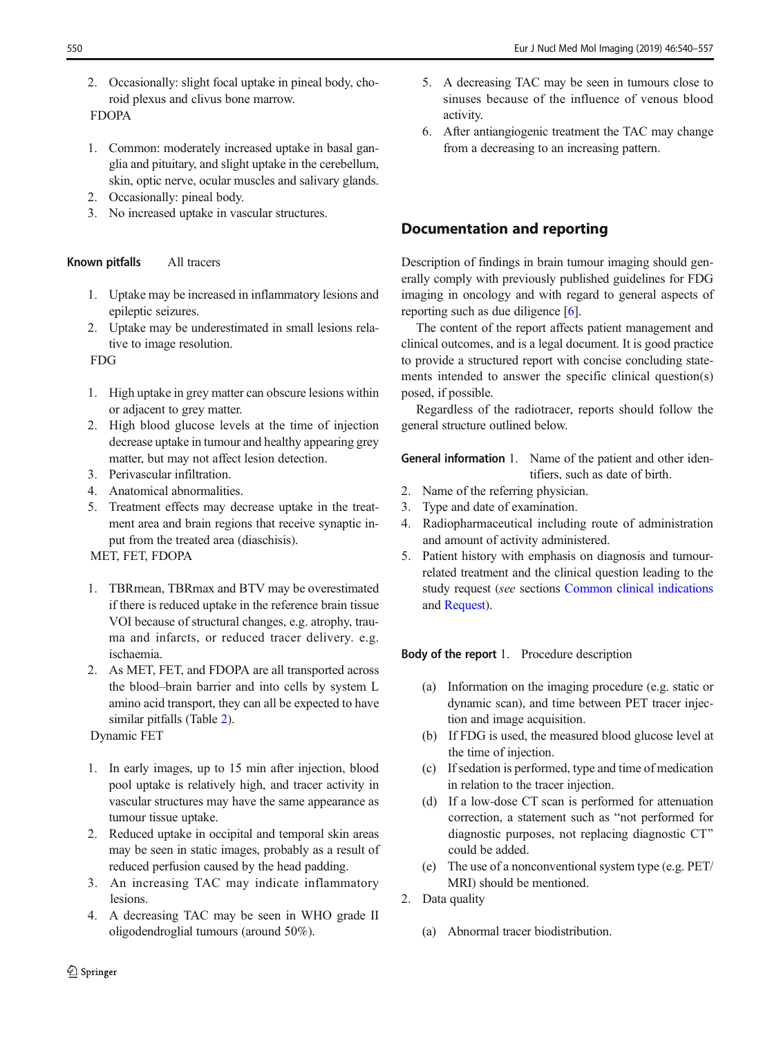- 2. Occasionally: slight focal uptake in pineal body, choroid plexus and clivus bone marrow. FDOPA
- 1. Common: moderately increased uptake in basal ganglia and pituitary, and slight uptake in the cerebellum, skin, optic nerve, ocular muscles and salivary glands.
- 2. Occasionally: pineal body.
- 3. No increased uptake in vascular structures.

# Known pitfalls All tracers

- 1. Uptake may be increased in inflammatory lesions and epileptic seizures.
- 2. Uptake may be underestimated in small lesions relative to image resolution.

FDG

- 1. High uptake in grey matter can obscure lesions within or adjacent to grey matter.
- 2. High blood glucose levels at the time of injection decrease uptake in tumour and healthy appearing grey matter, but may not affect lesion detection.
- 3. Perivascular infiltration.
- 4. Anatomical abnormalities.
- 5. Treatment effects may decrease uptake in the treatment area and brain regions that receive synaptic input from the treated area (diaschisis).

MET, FET, FDOPA

- 1. TBRmean, TBRmax and BTV may be overestimated if there is reduced uptake in the reference brain tissue VOI because of structural changes, e.g. atrophy, trauma and infarcts, or reduced tracer delivery. e.g. ischaemia.
- 2. As MET, FET, and FDOPA are all transported across the blood–brain barrier and into cells by system L amino acid transport, they can all be expected to have similar pitfalls (Table [2](#page-11-0)).

Dynamic FET

- 1. In early images, up to 15 min after injection, blood pool uptake is relatively high, and tracer activity in vascular structures may have the same appearance as tumour tissue uptake.
- 2. Reduced uptake in occipital and temporal skin areas may be seen in static images, probably as a result of reduced perfusion caused by the head padding.
- 3. An increasing TAC may indicate inflammatory lesions.
- 4. A decreasing TAC may be seen in WHO grade II oligodendroglial tumours (around 50%).
- 5. A decreasing TAC may be seen in tumours close to sinuses because of the influence of venous blood activity.
- 6. After antiangiogenic treatment the TAC may change from a decreasing to an increasing pattern.

# Documentation and reporting

Description of findings in brain tumour imaging should generally comply with previously published guidelines for FDG imaging in oncology and with regard to general aspects of reporting such as due diligence [\[6](#page-14-0)].

The content of the report affects patient management and clinical outcomes, and is a legal document. It is good practice to provide a structured report with concise concluding statements intended to answer the specific clinical question(s) posed, if possible.

Regardless of the radiotracer, reports should follow the general structure outlined below.

General information 1. Name of the patient and other identifiers, such as date of birth.

- 2. Name of the referring physician.
- 3. Type and date of examination.
- 4. Radiopharmaceutical including route of administration and amount of activity administered.
- 5. Patient history with emphasis on diagnosis and tumourrelated treatment and the clinical question leading to the study request (see sections [Common clinical indications](#page-2-0) and [Request](#page-3-0)).

Body of the report 1. Procedure description

- (a) Information on the imaging procedure (e.g. static or dynamic scan), and time between PET tracer injection and image acquisition.
- (b) If FDG is used, the measured blood glucose level at the time of injection.
- (c) If sedation is performed, type and time of medication in relation to the tracer injection.
- (d) If a low-dose CT scan is performed for attenuation correction, a statement such as "not performed for diagnostic purposes, not replacing diagnostic CT^ could be added.
- (e) The use of a nonconventional system type (e.g. PET/ MRI) should be mentioned.
- 2. Data quality
	- (a) Abnormal tracer biodistribution.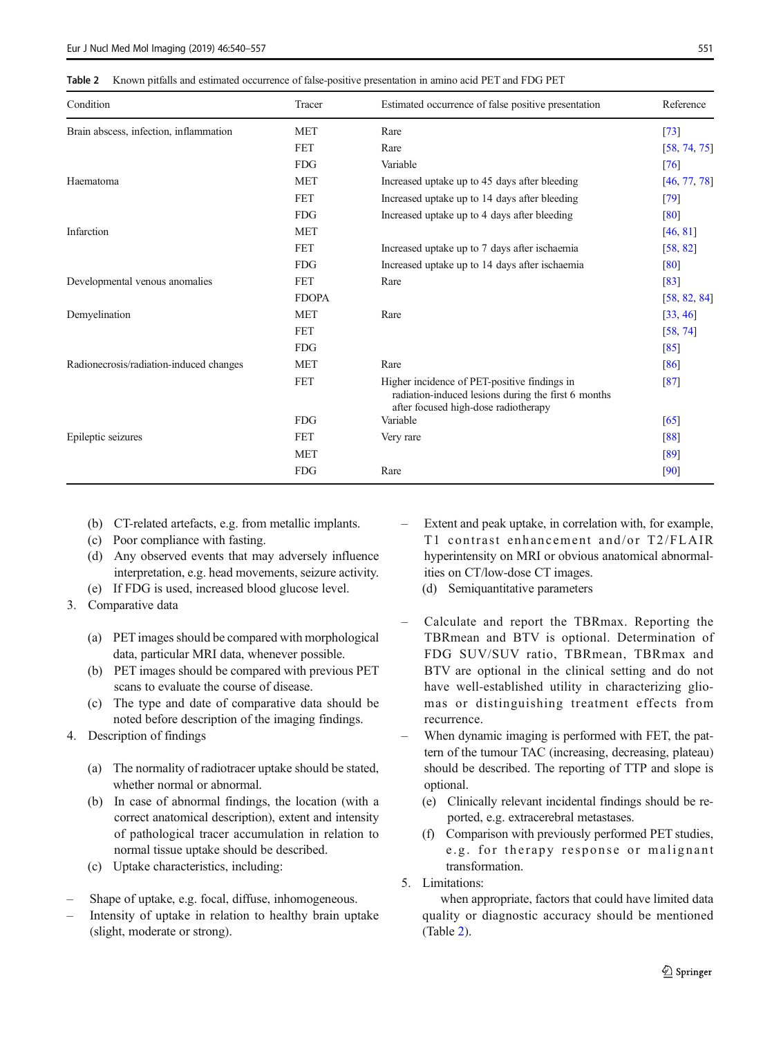<span id="page-11-0"></span>

|  |  | Table 2 Known pitfalls and estimated occurrence of false-positive presentation in amino acid PET and FDG PET |  |
|--|--|--------------------------------------------------------------------------------------------------------------|--|
|--|--|--------------------------------------------------------------------------------------------------------------|--|

| Condition                               | Tracer       | Estimated occurrence of false positive presentation                                                                                         | Reference    |  |
|-----------------------------------------|--------------|---------------------------------------------------------------------------------------------------------------------------------------------|--------------|--|
| Brain abscess, infection, inflammation  | <b>MET</b>   | Rare                                                                                                                                        | $[73]$       |  |
|                                         | <b>FET</b>   | Rare                                                                                                                                        | [58, 74, 75] |  |
|                                         | <b>FDG</b>   | Variable                                                                                                                                    | [76]         |  |
| Haematoma                               | <b>MET</b>   | Increased uptake up to 45 days after bleeding                                                                                               | [46, 77, 78] |  |
|                                         | <b>FET</b>   | Increased uptake up to 14 days after bleeding                                                                                               | [79]         |  |
|                                         | <b>FDG</b>   | Increased uptake up to 4 days after bleeding                                                                                                | [80]         |  |
| Infarction                              | <b>MET</b>   |                                                                                                                                             | [46, 81]     |  |
|                                         | <b>FET</b>   | Increased uptake up to 7 days after ischaemia                                                                                               | [58, 82]     |  |
|                                         | <b>FDG</b>   | Increased uptake up to 14 days after ischaemia                                                                                              | [80]         |  |
| Developmental venous anomalies          | <b>FET</b>   | Rare                                                                                                                                        | $[83]$       |  |
|                                         | <b>FDOPA</b> |                                                                                                                                             | [58, 82, 84] |  |
| Demyelination                           | <b>MET</b>   | Rare                                                                                                                                        | [33, 46]     |  |
|                                         | <b>FET</b>   |                                                                                                                                             | [58, 74]     |  |
|                                         | <b>FDG</b>   |                                                                                                                                             | [85]         |  |
| Radionecrosis/radiation-induced changes | <b>MET</b>   | Rare                                                                                                                                        | [86]         |  |
|                                         | <b>FET</b>   | Higher incidence of PET-positive findings in<br>radiation-induced lesions during the first 6 months<br>after focused high-dose radiotherapy | $[87]$       |  |
|                                         | <b>FDG</b>   | Variable                                                                                                                                    | [65]         |  |
| Epileptic seizures                      | <b>FET</b>   | Very rare                                                                                                                                   | [88]         |  |
|                                         | <b>MET</b>   |                                                                                                                                             | [89]         |  |
|                                         | <b>FDG</b>   | Rare                                                                                                                                        | [90]         |  |

- (b) CT-related artefacts, e.g. from metallic implants.
- (c) Poor compliance with fasting.
- (d) Any observed events that may adversely influence interpretation, e.g. head movements, seizure activity.
- (e) If FDG is used, increased blood glucose level.
- 3. Comparative data
	- (a) PET images should be compared with morphological data, particular MRI data, whenever possible.
	- (b) PET images should be compared with previous PET scans to evaluate the course of disease.
	- (c) The type and date of comparative data should be noted before description of the imaging findings.
- 4. Description of findings
	- (a) The normality of radiotracer uptake should be stated, whether normal or abnormal.
	- (b) In case of abnormal findings, the location (with a correct anatomical description), extent and intensity of pathological tracer accumulation in relation to normal tissue uptake should be described.
	- (c) Uptake characteristics, including:
- Shape of uptake, e.g. focal, diffuse, inhomogeneous.
- Intensity of uptake in relation to healthy brain uptake (slight, moderate or strong).
- Extent and peak uptake, in correlation with, for example, T1 contrast enhancement and/or T2/FLAIR hyperintensity on MRI or obvious anatomical abnormalities on CT/low-dose CT images.
	- (d) Semiquantitative parameters
- Calculate and report the TBRmax. Reporting the TBRmean and BTV is optional. Determination of FDG SUV/SUV ratio, TBRmean, TBRmax and BTV are optional in the clinical setting and do not have well-established utility in characterizing gliomas or distinguishing treatment effects from recurrence.
- When dynamic imaging is performed with FET, the pattern of the tumour TAC (increasing, decreasing, plateau) should be described. The reporting of TTP and slope is optional.
	- (e) Clinically relevant incidental findings should be reported, e.g. extracerebral metastases.
	- (f) Comparison with previously performed PET studies, e.g. for therapy response or malignant transformation.
- 5. Limitations:

when appropriate, factors that could have limited data quality or diagnostic accuracy should be mentioned (Table 2).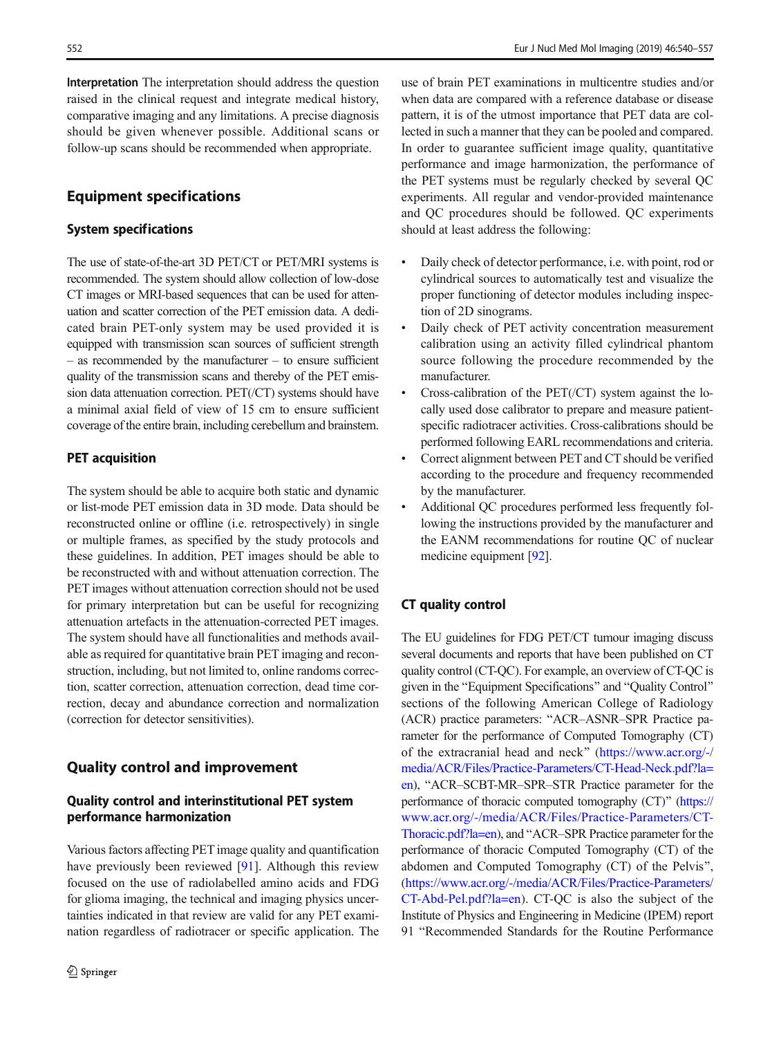<span id="page-12-0"></span>Interpretation The interpretation should address the question raised in the clinical request and integrate medical history, comparative imaging and any limitations. A precise diagnosis should be given whenever possible. Additional scans or follow-up scans should be recommended when appropriate.

## Equipment specifications

### System specifications

The use of state-of-the-art 3D PET/CT or PET/MRI systems is recommended. The system should allow collection of low-dose CT images or MRI-based sequences that can be used for attenuation and scatter correction of the PET emission data. A dedicated brain PET-only system may be used provided it is equipped with transmission scan sources of sufficient strength – as recommended by the manufacturer – to ensure sufficient quality of the transmission scans and thereby of the PET emission data attenuation correction. PET(/CT) systems should have a minimal axial field of view of 15 cm to ensure sufficient coverage of the entire brain, including cerebellum and brainstem.

#### PET acquisition

The system should be able to acquire both static and dynamic or list-mode PET emission data in 3D mode. Data should be reconstructed online or offline (i.e. retrospectively) in single or multiple frames, as specified by the study protocols and these guidelines. In addition, PET images should be able to be reconstructed with and without attenuation correction. The PET images without attenuation correction should not be used for primary interpretation but can be useful for recognizing attenuation artefacts in the attenuation-corrected PET images. The system should have all functionalities and methods available as required for quantitative brain PET imaging and reconstruction, including, but not limited to, online randoms correction, scatter correction, attenuation correction, dead time correction, decay and abundance correction and normalization (correction for detector sensitivities).

#### Quality control and improvement

# Quality control and interinstitutional PET system performance harmonization

Various factors affecting PET image quality and quantification have previously been reviewed [\[91](#page-16-0)]. Although this review focused on the use of radiolabelled amino acids and FDG for glioma imaging, the technical and imaging physics uncertainties indicated in that review are valid for any PET examination regardless of radiotracer or specific application. The

use of brain PET examinations in multicentre studies and/or when data are compared with a reference database or disease pattern, it is of the utmost importance that PET data are collected in such a manner that they can be pooled and compared. In order to guarantee sufficient image quality, quantitative performance and image harmonization, the performance of the PET systems must be regularly checked by several QC experiments. All regular and vendor-provided maintenance and QC procedures should be followed. QC experiments should at least address the following:

- Daily check of detector performance, i.e. with point, rod or cylindrical sources to automatically test and visualize the proper functioning of detector modules including inspection of 2D sinograms.
- & Daily check of PET activity concentration measurement calibration using an activity filled cylindrical phantom source following the procedure recommended by the manufacturer.
- & Cross-calibration of the PET(/CT) system against the locally used dose calibrator to prepare and measure patientspecific radiotracer activities. Cross-calibrations should be performed following EARL recommendations and criteria.
- & Correct alignment between PET and CT should be verified according to the procedure and frequency recommended by the manufacturer.
- & Additional QC procedures performed less frequently following the instructions provided by the manufacturer and the EANM recommendations for routine QC of nuclear medicine equipment [[92\]](#page-16-0).

### CT quality control

The EU guidelines for FDG PET/CT tumour imaging discuss several documents and reports that have been published on CT quality control (CT-QC). For example, an overview of CT-QC is given in the "Equipment Specifications" and "Quality Control" sections of the following American College of Radiology (ACR) practice parameters: "ACR–ASNR–SPR Practice parameter for the performance of Computed Tomography (CT) of the extracranial head and neck^ [\(https://www.acr.org/-/](https://www.acr.org/-/media/ACR/Files/Practice-Parameters/CT-Head-Neck.pdf?la=en) [media/ACR/Files/Practice-Parameters/CT-Head-Neck.pdf?la=](https://www.acr.org/-/media/ACR/Files/Practice-Parameters/CT-Head-Neck.pdf?la=en) [en](https://www.acr.org/-/media/ACR/Files/Practice-Parameters/CT-Head-Neck.pdf?la=en)), "ACR–SCBT-MR–SPR–STR Practice parameter for the performance of thoracic computed tomography (CT)^ ([https://](https://www.acr.org/-/media/ACR/Files/Practice-Parameters/CT-Thoracic.pdf?la=en) [www.acr.org/-/media/ACR/Files/Practice-Parameters/CT-](https://www.acr.org/-/media/ACR/Files/Practice-Parameters/CT-Thoracic.pdf?la=en)[Thoracic.pdf?la=en\)](https://www.acr.org/-/media/ACR/Files/Practice-Parameters/CT-Thoracic.pdf?la=en), and "ACR–SPR Practice parameter for the performance of thoracic Computed Tomography (CT) of the abdomen and Computed Tomography (CT) of the Pelvis^, [\(https://www.acr.org/-/media/ACR/Files/Practice-Parameters/](https://www.acr.org/-/media/ACR/Files/Practice-Parameters/CT-Abd-Pel.pdf?la=en) [CT-Abd-Pel.pdf?la=en](https://www.acr.org/-/media/ACR/Files/Practice-Parameters/CT-Abd-Pel.pdf?la=en)). CT-QC is also the subject of the Institute of Physics and Engineering in Medicine (IPEM) report 91 "Recommended Standards for the Routine Performance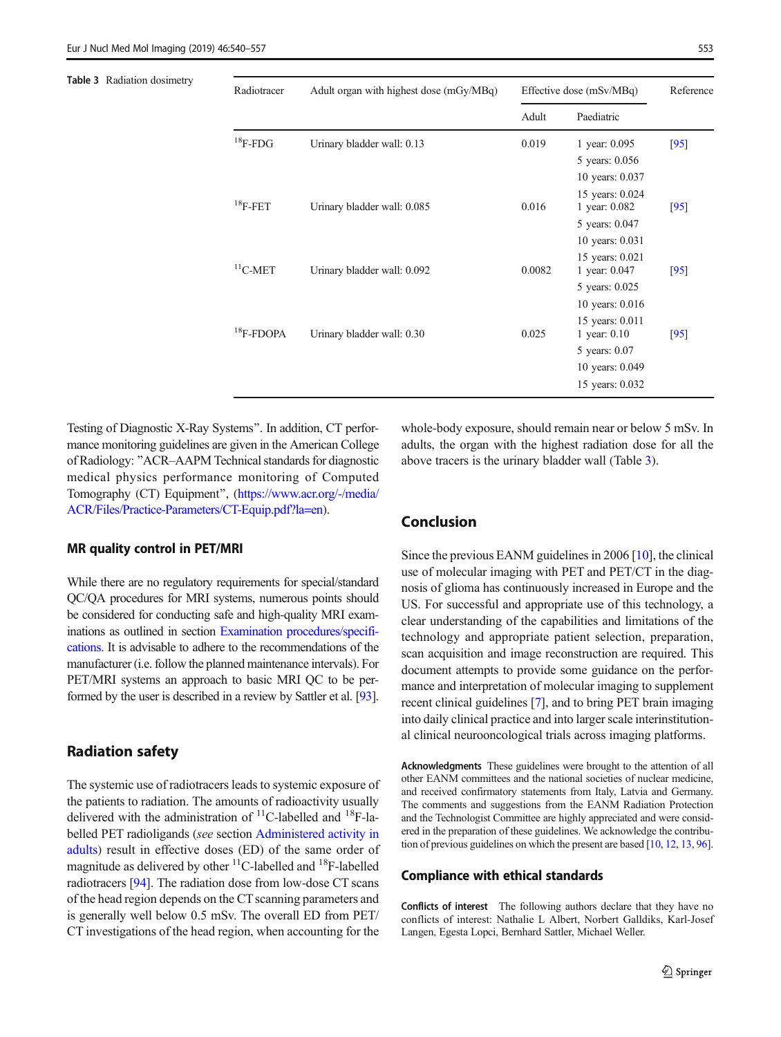<span id="page-13-0"></span>Table 3 Radiation dosimetry

| Radiotracer     | Adult organ with highest dose (mGy/MBq) | Effective dose (mSv/MBq) | Reference                         |      |
|-----------------|-----------------------------------------|--------------------------|-----------------------------------|------|
|                 |                                         | Adult                    | Paediatric                        |      |
| ${}^{18}$ F-FDG | Urinary bladder wall: 0.13              | 0.019                    | 1 year: 0.095                     | [95] |
|                 |                                         |                          | 5 years: 0.056<br>10 years: 0.037 |      |
| $^{18}$ F-FET   | Urinary bladder wall: 0.085             | 0.016                    | 15 years: 0.024<br>1 year: 0.082  | [95] |
|                 |                                         |                          | 5 years: 0.047<br>10 years: 0.031 |      |
| $^{11}$ C-MET   | Urinary bladder wall: 0.092             | 0.0082                   | 15 years: 0.021<br>1 year: 0.047  | [95] |
|                 |                                         |                          | 5 years: 0.025<br>10 years: 0.016 |      |
| $^{18}$ F-FDOPA | Urinary bladder wall: 0.30              | 0.025                    | 15 years: 0.011<br>1 year: $0.10$ | [95] |
|                 |                                         |                          | 5 years: 0.07<br>10 years: 0.049  |      |
|                 |                                         |                          | 15 years: 0.032                   |      |

Testing of Diagnostic X-Ray Systems^. In addition, CT performance monitoring guidelines are given in the American College of Radiology: "ACR–AAPM Technical standards for diagnostic medical physics performance monitoring of Computed Tomography (CT) Equipment^, [\(https://www.acr.org/-/media/](https://www.acr.org/-/media/ACR/Files/Practice-Parameters/CT-Equip.pdf?la=en) [ACR/Files/Practice-Parameters/CT-Equip.pdf?la=en](https://www.acr.org/-/media/ACR/Files/Practice-Parameters/CT-Equip.pdf?la=en)).

#### MR quality control in PET/MRI

While there are no regulatory requirements for special/standard QC/QA procedures for MRI systems, numerous points should be considered for conducting safe and high-quality MRI examinations as outlined in section [Examination procedures/specifi](#page-3-0)[cations](#page-3-0). It is advisable to adhere to the recommendations of the manufacturer (i.e. follow the planned maintenance intervals). For PET/MRI systems an approach to basic MRI QC to be performed by the user is described in a review by Sattler et al. [\[93\]](#page-16-0).

### Radiation safety

The systemic use of radiotracers leads to systemic exposure of the patients to radiation. The amounts of radioactivity usually delivered with the administration of  ${}^{11}$ C-labelled and  ${}^{18}$ F-la-belled PET radioligands (see section [Administered activity in](#page-4-0) [adults](#page-4-0)) result in effective doses (ED) of the same order of magnitude as delivered by other  ${}^{11}$ C-labelled and  ${}^{18}$ F-labelled radiotracers [[94\]](#page-17-0). The radiation dose from low-dose CT scans of the head region depends on the CT scanning parameters and is generally well below 0.5 mSv. The overall ED from PET/ CT investigations of the head region, when accounting for the

whole-body exposure, should remain near or below 5 mSv. In adults, the organ with the highest radiation dose for all the above tracers is the urinary bladder wall (Table 3).

### Conclusion

Since the previous EANM guidelines in 2006 [\[10\]](#page-14-0), the clinical use of molecular imaging with PET and PET/CT in the diagnosis of glioma has continuously increased in Europe and the US. For successful and appropriate use of this technology, a clear understanding of the capabilities and limitations of the technology and appropriate patient selection, preparation, scan acquisition and image reconstruction are required. This document attempts to provide some guidance on the performance and interpretation of molecular imaging to supplement recent clinical guidelines [\[7\]](#page-14-0), and to bring PET brain imaging into daily clinical practice and into larger scale interinstitutional clinical neurooncological trials across imaging platforms.

Acknowledgments These guidelines were brought to the attention of all other EANM committees and the national societies of nuclear medicine, and received confirmatory statements from Italy, Latvia and Germany. The comments and suggestions from the EANM Radiation Protection and the Technologist Committee are highly appreciated and were considered in the preparation of these guidelines. We acknowledge the contribution of previous guidelines on which the present are based [[10,](#page-14-0) [12,](#page-14-0) [13,](#page-14-0) [96\]](#page-17-0).

#### Compliance with ethical standards

Conflicts of interest The following authors declare that they have no conflicts of interest: Nathalie L Albert, Norbert Galldiks, Karl-Josef Langen, Egesta Lopci, Bernhard Sattler, Michael Weller.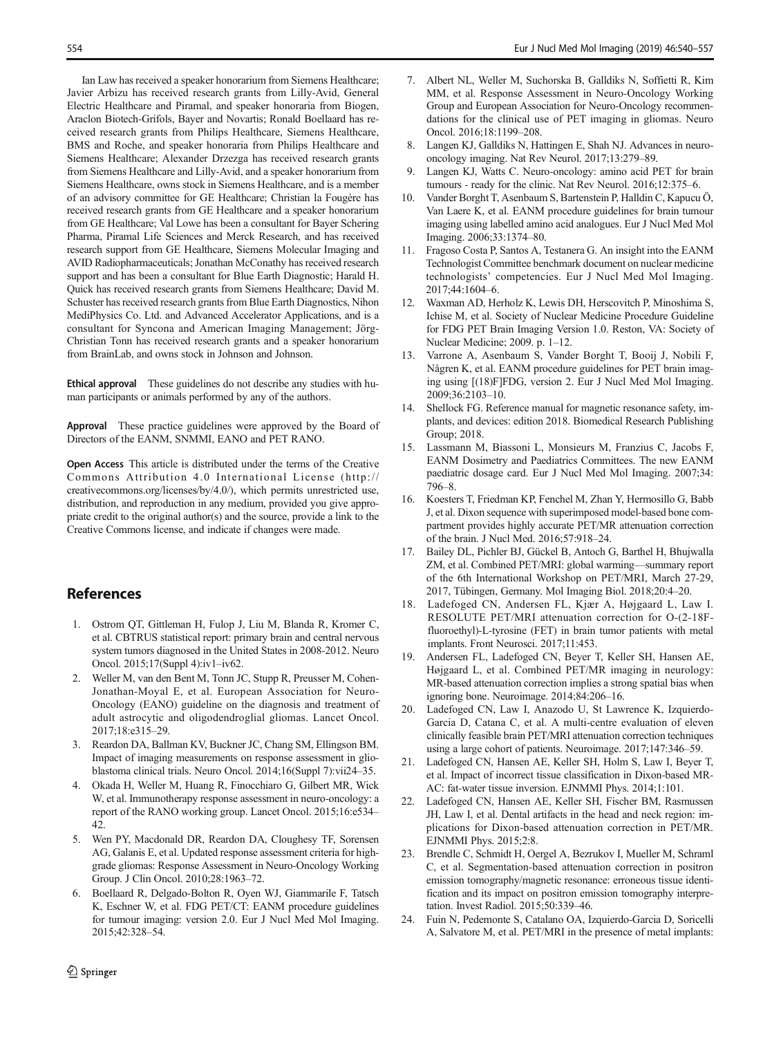<span id="page-14-0"></span>Ian Law has received a speaker honorarium from Siemens Healthcare; Javier Arbizu has received research grants from Lilly-Avid, General Electric Healthcare and Piramal, and speaker honoraria from Biogen, Araclon Biotech-Grifols, Bayer and Novartis; Ronald Boellaard has received research grants from Philips Healthcare, Siemens Healthcare, BMS and Roche, and speaker honoraria from Philips Healthcare and Siemens Healthcare; Alexander Drzezga has received research grants from Siemens Healthcare and Lilly-Avid, and a speaker honorarium from Siemens Healthcare, owns stock in Siemens Healthcare, and is a member of an advisory committee for GE Healthcare; Christian la Fougère has received research grants from GE Healthcare and a speaker honorarium from GE Healthcare; Val Lowe has been a consultant for Bayer Schering Pharma, Piramal Life Sciences and Merck Research, and has received research support from GE Healthcare, Siemens Molecular Imaging and AVID Radiopharmaceuticals; Jonathan McConathy has received research support and has been a consultant for Blue Earth Diagnostic; Harald H. Quick has received research grants from Siemens Healthcare; David M. Schuster has received research grants from Blue Earth Diagnostics, Nihon MediPhysics Co. Ltd. and Advanced Accelerator Applications, and is a consultant for Syncona and American Imaging Management; Jörg-Christian Tonn has received research grants and a speaker honorarium from BrainLab, and owns stock in Johnson and Johnson.

Ethical approval These guidelines do not describe any studies with human participants or animals performed by any of the authors.

Approval These practice guidelines were approved by the Board of Directors of the EANM, SNMMI, EANO and PET RANO.

Open Access This article is distributed under the terms of the Creative Commons Attribution 4.0 International License (http:// creativecommons.org/licenses/by/4.0/), which permits unrestricted use, distribution, and reproduction in any medium, provided you give appropriate credit to the original author(s) and the source, provide a link to the Creative Commons license, and indicate if changes were made.

# **References**

- 1. Ostrom QT, Gittleman H, Fulop J, Liu M, Blanda R, Kromer C, et al. CBTRUS statistical report: primary brain and central nervous system tumors diagnosed in the United States in 2008-2012. Neuro Oncol. 2015;17(Suppl 4):iv1–iv62.
- 2. Weller M, van den Bent M, Tonn JC, Stupp R, Preusser M, Cohen-Jonathan-Moyal E, et al. European Association for Neuro-Oncology (EANO) guideline on the diagnosis and treatment of adult astrocytic and oligodendroglial gliomas. Lancet Oncol. 2017;18:e315–29.
- 3. Reardon DA, Ballman KV, Buckner JC, Chang SM, Ellingson BM. Impact of imaging measurements on response assessment in glioblastoma clinical trials. Neuro Oncol. 2014;16(Suppl 7):vii24–35.
- 4. Okada H, Weller M, Huang R, Finocchiaro G, Gilbert MR, Wick W, et al. Immunotherapy response assessment in neuro-oncology: a report of the RANO working group. Lancet Oncol. 2015;16:e534– 42.
- 5. Wen PY, Macdonald DR, Reardon DA, Cloughesy TF, Sorensen AG, Galanis E, et al. Updated response assessment criteria for highgrade gliomas: Response Assessment in Neuro-Oncology Working Group. J Clin Oncol. 2010;28:1963–72.
- 6. Boellaard R, Delgado-Bolton R, Oyen WJ, Giammarile F, Tatsch K, Eschner W, et al. FDG PET/CT: EANM procedure guidelines for tumour imaging: version 2.0. Eur J Nucl Med Mol Imaging. 2015;42:328–54.
- 7. Albert NL, Weller M, Suchorska B, Galldiks N, Soffietti R, Kim MM, et al. Response Assessment in Neuro-Oncology Working Group and European Association for Neuro-Oncology recommendations for the clinical use of PET imaging in gliomas. Neuro Oncol. 2016;18:1199–208.
- 8. Langen KJ, Galldiks N, Hattingen E, Shah NJ. Advances in neurooncology imaging. Nat Rev Neurol. 2017;13:279–89.
- Langen KJ, Watts C. Neuro-oncology: amino acid PET for brain tumours - ready for the clinic. Nat Rev Neurol. 2016;12:375–6.
- 10. Vander Borght T, Asenbaum S, Bartenstein P, Halldin C, Kapucu Ö, Van Laere K, et al. EANM procedure guidelines for brain tumour imaging using labelled amino acid analogues. Eur J Nucl Med Mol Imaging. 2006;33:1374–80.
- 11. Fragoso Costa P, Santos A, Testanera G. An insight into the EANM Technologist Committee benchmark document on nuclear medicine technologists' competencies. Eur J Nucl Med Mol Imaging. 2017;44:1604–6.
- 12. Waxman AD, Herholz K, Lewis DH, Herscovitch P, Minoshima S, Ichise M, et al. Society of Nuclear Medicine Procedure Guideline for FDG PET Brain Imaging Version 1.0. Reston, VA: Society of Nuclear Medicine; 2009. p. 1–12.
- 13. Varrone A, Asenbaum S, Vander Borght T, Booij J, Nobili F, Någren K, et al. EANM procedure guidelines for PET brain imaging using [(18)F]FDG, version 2. Eur J Nucl Med Mol Imaging. 2009;36:2103–10.
- 14. Shellock FG. Reference manual for magnetic resonance safety, implants, and devices: edition 2018. Biomedical Research Publishing Group; 2018.
- 15. Lassmann M, Biassoni L, Monsieurs M, Franzius C, Jacobs F, EANM Dosimetry and Paediatrics Committees. The new EANM paediatric dosage card. Eur J Nucl Med Mol Imaging. 2007;34: 796–8.
- 16. Koesters T, Friedman KP, Fenchel M, Zhan Y, Hermosillo G, Babb J, et al. Dixon sequence with superimposed model-based bone compartment provides highly accurate PET/MR attenuation correction of the brain. J Nucl Med. 2016;57:918–24.
- 17. Bailey DL, Pichler BJ, Gückel B, Antoch G, Barthel H, Bhujwalla ZM, et al. Combined PET/MRI: global warming—summary report of the 6th International Workshop on PET/MRI, March 27-29, 2017, Tübingen, Germany. Mol Imaging Biol. 2018;20:4–20.
- 18. Ladefoged CN, Andersen FL, Kjær A, Højgaard L, Law I. RESOLUTE PET/MRI attenuation correction for O-(2-18Ffluoroethyl)-L-tyrosine (FET) in brain tumor patients with metal implants. Front Neurosci. 2017;11:453.
- Andersen FL, Ladefoged CN, Beyer T, Keller SH, Hansen AE, Højgaard L, et al. Combined PET/MR imaging in neurology: MR-based attenuation correction implies a strong spatial bias when ignoring bone. Neuroimage. 2014;84:206–16.
- 20. Ladefoged CN, Law I, Anazodo U, St Lawrence K, Izquierdo-Garcia D, Catana C, et al. A multi-centre evaluation of eleven clinically feasible brain PET/MRI attenuation correction techniques using a large cohort of patients. Neuroimage. 2017;147:346–59.
- 21. Ladefoged CN, Hansen AE, Keller SH, Holm S, Law I, Beyer T, et al. Impact of incorrect tissue classification in Dixon-based MR-AC: fat-water tissue inversion. EJNMMI Phys. 2014;1:101.
- 22. Ladefoged CN, Hansen AE, Keller SH, Fischer BM, Rasmussen JH, Law I, et al. Dental artifacts in the head and neck region: implications for Dixon-based attenuation correction in PET/MR. EJNMMI Phys. 2015;2:8.
- 23. Brendle C, Schmidt H, Oergel A, Bezrukov I, Mueller M, Schraml C, et al. Segmentation-based attenuation correction in positron emission tomography/magnetic resonance: erroneous tissue identification and its impact on positron emission tomography interpretation. Invest Radiol. 2015;50:339–46.
- 24. Fuin N, Pedemonte S, Catalano OA, Izquierdo-Garcia D, Soricelli A, Salvatore M, et al. PET/MRI in the presence of metal implants: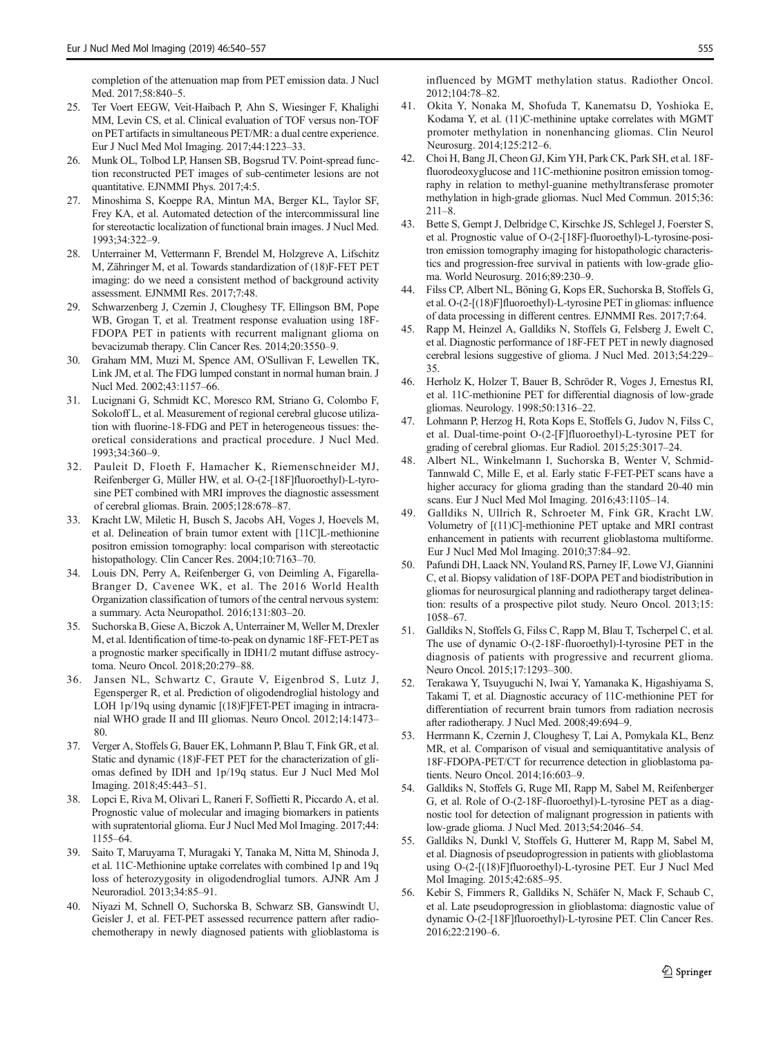- <span id="page-15-0"></span>25. Ter Voert EEGW, Veit-Haibach P, Ahn S, Wiesinger F, Khalighi MM, Levin CS, et al. Clinical evaluation of TOF versus non-TOF on PET artifacts in simultaneous PET/MR: a dual centre experience. Eur J Nucl Med Mol Imaging. 2017;44:1223–33.
- 26. Munk OL, Tolbod LP, Hansen SB, Bogsrud TV. Point-spread function reconstructed PET images of sub-centimeter lesions are not quantitative. EJNMMI Phys. 2017;4:5.
- 27. Minoshima S, Koeppe RA, Mintun MA, Berger KL, Taylor SF, Frey KA, et al. Automated detection of the intercommissural line for stereotactic localization of functional brain images. J Nucl Med. 1993;34:322–9.
- 28. Unterrainer M, Vettermann F, Brendel M, Holzgreve A, Lifschitz M, Zähringer M, et al. Towards standardization of (18)F-FET PET imaging: do we need a consistent method of background activity assessment. EJNMMI Res. 2017;7:48.
- 29. Schwarzenberg J, Czernin J, Cloughesy TF, Ellingson BM, Pope WB, Grogan T, et al. Treatment response evaluation using 18F-FDOPA PET in patients with recurrent malignant glioma on bevacizumab therapy. Clin Cancer Res. 2014;20:3550–9.
- 30. Graham MM, Muzi M, Spence AM, O'Sullivan F, Lewellen TK, Link JM, et al. The FDG lumped constant in normal human brain. J Nucl Med. 2002;43:1157–66.
- 31. Lucignani G, Schmidt KC, Moresco RM, Striano G, Colombo F, Sokoloff L, et al. Measurement of regional cerebral glucose utilization with fluorine-18-FDG and PET in heterogeneous tissues: theoretical considerations and practical procedure. J Nucl Med. 1993;34:360–9.
- 32. Pauleit D, Floeth F, Hamacher K, Riemenschneider MJ, Reifenberger G, Müller HW, et al. O-(2-[18F]fluoroethyl)-L-tyrosine PET combined with MRI improves the diagnostic assessment of cerebral gliomas. Brain. 2005;128:678–87.
- 33. Kracht LW, Miletic H, Busch S, Jacobs AH, Voges J, Hoevels M, et al. Delineation of brain tumor extent with [11C]L-methionine positron emission tomography: local comparison with stereotactic histopathology. Clin Cancer Res. 2004;10:7163-70.
- 34. Louis DN, Perry A, Reifenberger G, von Deimling A, Figarella-Branger D, Cavenee WK, et al. The 2016 World Health Organization classification of tumors of the central nervous system: a summary. Acta Neuropathol. 2016;131:803–20.
- 35. Suchorska B, Giese A, Biczok A, Unterrainer M, Weller M, Drexler M, et al. Identification of time-to-peak on dynamic 18F-FET-PET as a prognostic marker specifically in IDH1/2 mutant diffuse astrocytoma. Neuro Oncol. 2018;20:279–88.
- 36. Jansen NL, Schwartz C, Graute V, Eigenbrod S, Lutz J, Egensperger R, et al. Prediction of oligodendroglial histology and LOH 1p/19q using dynamic [(18)F]FET-PET imaging in intracranial WHO grade II and III gliomas. Neuro Oncol. 2012;14:1473– 80.
- 37. Verger A, Stoffels G, Bauer EK, Lohmann P, Blau T, Fink GR, et al. Static and dynamic (18)F-FET PET for the characterization of gliomas defined by IDH and 1p/19q status. Eur J Nucl Med Mol Imaging. 2018;45:443–51.
- 38. Lopci E, Riva M, Olivari L, Raneri F, Soffietti R, Piccardo A, et al. Prognostic value of molecular and imaging biomarkers in patients with supratentorial glioma. Eur J Nucl Med Mol Imaging. 2017;44: 1155–64.
- 39. Saito T, Maruyama T, Muragaki Y, Tanaka M, Nitta M, Shinoda J, et al. 11C-Methionine uptake correlates with combined 1p and 19q loss of heterozygosity in oligodendroglial tumors. AJNR Am J Neuroradiol. 2013;34:85–91.
- 40. Niyazi M, Schnell O, Suchorska B, Schwarz SB, Ganswindt U, Geisler J, et al. FET-PET assessed recurrence pattern after radiochemotherapy in newly diagnosed patients with glioblastoma is
- 41. Okita Y, Nonaka M, Shofuda T, Kanematsu D, Yoshioka E, Kodama Y, et al. (11)C-methinine uptake correlates with MGMT promoter methylation in nonenhancing gliomas. Clin Neurol Neurosurg. 2014;125:212–6.
- 42. Choi H, Bang JI, Cheon GJ, Kim YH, Park CK, Park SH, et al. 18Ffluorodeoxyglucose and 11C-methionine positron emission tomography in relation to methyl-guanine methyltransferase promoter methylation in high-grade gliomas. Nucl Med Commun. 2015;36: 211–8.
- 43. Bette S, Gempt J, Delbridge C, Kirschke JS, Schlegel J, Foerster S, et al. Prognostic value of O-(2-[18F]-fluoroethyl)-L-tyrosine-positron emission tomography imaging for histopathologic characteristics and progression-free survival in patients with low-grade glioma. World Neurosurg. 2016;89:230–9.
- 44. Filss CP, Albert NL, Böning G, Kops ER, Suchorska B, Stoffels G, et al. O-(2-[(18)F]fluoroethyl)-L-tyrosine PET in gliomas: influence of data processing in different centres. EJNMMI Res. 2017;7:64.
- 45. Rapp M, Heinzel A, Galldiks N, Stoffels G, Felsberg J, Ewelt C, et al. Diagnostic performance of 18F-FET PET in newly diagnosed cerebral lesions suggestive of glioma. J Nucl Med. 2013;54:229– 35.
- 46. Herholz K, Holzer T, Bauer B, Schröder R, Voges J, Ernestus RI, et al. 11C-methionine PET for differential diagnosis of low-grade gliomas. Neurology. 1998;50:1316–22.
- Lohmann P, Herzog H, Rota Kops E, Stoffels G, Judov N, Filss C, et al. Dual-time-point O-(2-[F]fluoroethyl)-L-tyrosine PET for grading of cerebral gliomas. Eur Radiol. 2015;25:3017–24.
- 48. Albert NL, Winkelmann I, Suchorska B, Wenter V, Schmid-Tannwald C, Mille E, et al. Early static F-FET-PET scans have a higher accuracy for glioma grading than the standard 20-40 min scans. Eur J Nucl Med Mol Imaging. 2016;43:1105–14.
- 49. Galldiks N, Ullrich R, Schroeter M, Fink GR, Kracht LW. Volumetry of [(11)C]-methionine PET uptake and MRI contrast enhancement in patients with recurrent glioblastoma multiforme. Eur J Nucl Med Mol Imaging. 2010;37:84–92.
- 50. Pafundi DH, Laack NN, Youland RS, Parney IF, Lowe VJ, Giannini C, et al. Biopsy validation of 18F-DOPA PET and biodistribution in gliomas for neurosurgical planning and radiotherapy target delineation: results of a prospective pilot study. Neuro Oncol. 2013;15: 1058–67.
- 51. Galldiks N, Stoffels G, Filss C, Rapp M, Blau T, Tscherpel C, et al. The use of dynamic O-(2-18F-fluoroethyl)-l-tyrosine PET in the diagnosis of patients with progressive and recurrent glioma. Neuro Oncol. 2015;17:1293–300.
- 52. Terakawa Y, Tsuyuguchi N, Iwai Y, Yamanaka K, Higashiyama S, Takami T, et al. Diagnostic accuracy of 11C-methionine PET for differentiation of recurrent brain tumors from radiation necrosis after radiotherapy. J Nucl Med. 2008;49:694–9.
- 53. Herrmann K, Czernin J, Cloughesy T, Lai A, Pomykala KL, Benz MR, et al. Comparison of visual and semiquantitative analysis of 18F-FDOPA-PET/CT for recurrence detection in glioblastoma patients. Neuro Oncol. 2014;16:603–9.
- 54. Galldiks N, Stoffels G, Ruge MI, Rapp M, Sabel M, Reifenberger G, et al. Role of O-(2-18F-fluoroethyl)-L-tyrosine PET as a diagnostic tool for detection of malignant progression in patients with low-grade glioma. J Nucl Med. 2013;54:2046–54.
- 55. Galldiks N, Dunkl V, Stoffels G, Hutterer M, Rapp M, Sabel M, et al. Diagnosis of pseudoprogression in patients with glioblastoma using O-(2-[(18)F]fluoroethyl)-L-tyrosine PET. Eur J Nucl Med Mol Imaging. 2015;42:685–95.
- 56. Kebir S, Fimmers R, Galldiks N, Schäfer N, Mack F, Schaub C, et al. Late pseudoprogression in glioblastoma: diagnostic value of dynamic O-(2-[18F]fluoroethyl)-L-tyrosine PET. Clin Cancer Res. 2016;22:2190–6.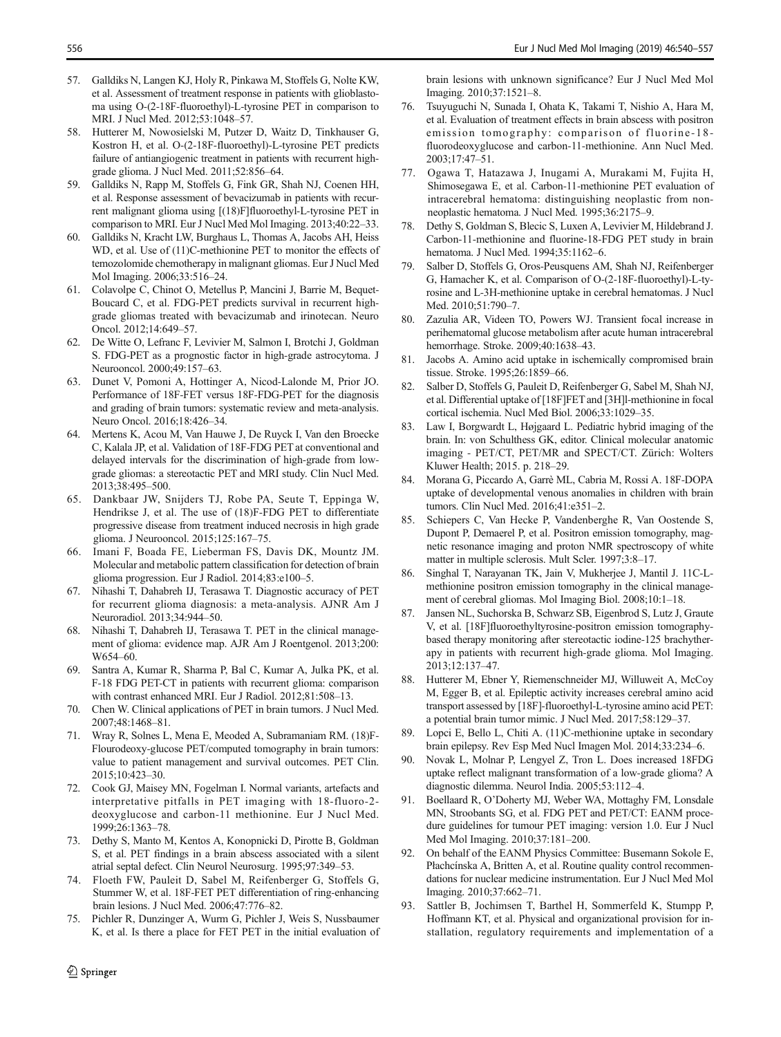- <span id="page-16-0"></span>57. Galldiks N, Langen KJ, Holy R, Pinkawa M, Stoffels G, Nolte KW, et al. Assessment of treatment response in patients with glioblastoma using O-(2-18F-fluoroethyl)-L-tyrosine PET in comparison to MRI. J Nucl Med. 2012;53:1048–57.
- 58. Hutterer M, Nowosielski M, Putzer D, Waitz D, Tinkhauser G, Kostron H, et al. O-(2-18F-fluoroethyl)-L-tyrosine PET predicts failure of antiangiogenic treatment in patients with recurrent highgrade glioma. J Nucl Med. 2011;52:856–64.
- 59. Galldiks N, Rapp M, Stoffels G, Fink GR, Shah NJ, Coenen HH, et al. Response assessment of bevacizumab in patients with recurrent malignant glioma using [(18)F]fluoroethyl-L-tyrosine PET in comparison to MRI. Eur J Nucl Med Mol Imaging. 2013;40:22–33.
- 60. Galldiks N, Kracht LW, Burghaus L, Thomas A, Jacobs AH, Heiss WD, et al. Use of (11)C-methionine PET to monitor the effects of temozolomide chemotherapy in malignant gliomas. Eur J Nucl Med Mol Imaging. 2006;33:516–24.
- 61. Colavolpe C, Chinot O, Metellus P, Mancini J, Barrie M, Bequet-Boucard C, et al. FDG-PET predicts survival in recurrent highgrade gliomas treated with bevacizumab and irinotecan. Neuro Oncol. 2012;14:649–57.
- 62. De Witte O, Lefranc F, Levivier M, Salmon I, Brotchi J, Goldman S. FDG-PET as a prognostic factor in high-grade astrocytoma. J Neurooncol. 2000;49:157–63.
- 63. Dunet V, Pomoni A, Hottinger A, Nicod-Lalonde M, Prior JO. Performance of 18F-FET versus 18F-FDG-PET for the diagnosis and grading of brain tumors: systematic review and meta-analysis. Neuro Oncol. 2016;18:426–34.
- 64. Mertens K, Acou M, Van Hauwe J, De Ruyck I, Van den Broecke C, Kalala JP, et al. Validation of 18F-FDG PET at conventional and delayed intervals for the discrimination of high-grade from lowgrade gliomas: a stereotactic PET and MRI study. Clin Nucl Med. 2013;38:495–500.
- 65. Dankbaar JW, Snijders TJ, Robe PA, Seute T, Eppinga W, Hendrikse J, et al. The use of (18)F-FDG PET to differentiate progressive disease from treatment induced necrosis in high grade glioma. J Neurooncol. 2015;125:167–75.
- 66. Imani F, Boada FE, Lieberman FS, Davis DK, Mountz JM. Molecular and metabolic pattern classification for detection of brain glioma progression. Eur J Radiol. 2014;83:e100–5.
- 67. Nihashi T, Dahabreh IJ, Terasawa T. Diagnostic accuracy of PET for recurrent glioma diagnosis: a meta-analysis. AJNR Am J Neuroradiol. 2013;34:944–50.
- 68. Nihashi T, Dahabreh IJ, Terasawa T. PET in the clinical management of glioma: evidence map. AJR Am J Roentgenol. 2013;200: W654–60.
- 69. Santra A, Kumar R, Sharma P, Bal C, Kumar A, Julka PK, et al. F-18 FDG PET-CT in patients with recurrent glioma: comparison with contrast enhanced MRI. Eur J Radiol. 2012;81:508–13.
- 70. Chen W. Clinical applications of PET in brain tumors. J Nucl Med. 2007;48:1468–81.
- 71. Wray R, Solnes L, Mena E, Meoded A, Subramaniam RM. (18)F-Flourodeoxy-glucose PET/computed tomography in brain tumors: value to patient management and survival outcomes. PET Clin. 2015;10:423–30.
- 72. Cook GJ, Maisey MN, Fogelman I. Normal variants, artefacts and interpretative pitfalls in PET imaging with 18-fluoro-2 deoxyglucose and carbon-11 methionine. Eur J Nucl Med. 1999;26:1363–78.
- 73. Dethy S, Manto M, Kentos A, Konopnicki D, Pirotte B, Goldman S, et al. PET findings in a brain abscess associated with a silent atrial septal defect. Clin Neurol Neurosurg. 1995;97:349–53.
- 74. Floeth FW, Pauleit D, Sabel M, Reifenberger G, Stoffels G, Stummer W, et al. 18F-FET PET differentiation of ring-enhancing brain lesions. J Nucl Med. 2006;47:776–82.
- 75. Pichler R, Dunzinger A, Wurm G, Pichler J, Weis S, Nussbaumer K, et al. Is there a place for FET PET in the initial evaluation of

brain lesions with unknown significance? Eur J Nucl Med Mol Imaging. 2010;37:1521–8.

- 76. Tsuyuguchi N, Sunada I, Ohata K, Takami T, Nishio A, Hara M, et al. Evaluation of treatment effects in brain abscess with positron emission tomography: comparison of fluorine-18 fluorodeoxyglucose and carbon-11-methionine. Ann Nucl Med. 2003;17:47–51.
- 77. Ogawa T, Hatazawa J, Inugami A, Murakami M, Fujita H, Shimosegawa E, et al. Carbon-11-methionine PET evaluation of intracerebral hematoma: distinguishing neoplastic from nonneoplastic hematoma. J Nucl Med. 1995;36:2175–9.
- 78. Dethy S, Goldman S, Blecic S, Luxen A, Levivier M, Hildebrand J. Carbon-11-methionine and fluorine-18-FDG PET study in brain hematoma. J Nucl Med. 1994;35:1162–6.
- 79. Salber D, Stoffels G, Oros-Peusquens AM, Shah NJ, Reifenberger G, Hamacher K, et al. Comparison of O-(2-18F-fluoroethyl)-L-tyrosine and L-3H-methionine uptake in cerebral hematomas. J Nucl Med. 2010;51:790–7.
- 80. Zazulia AR, Videen TO, Powers WJ. Transient focal increase in perihematomal glucose metabolism after acute human intracerebral hemorrhage. Stroke. 2009;40:1638–43.
- 81. Jacobs A. Amino acid uptake in ischemically compromised brain tissue. Stroke. 1995;26:1859–66.
- 82. Salber D, Stoffels G, Pauleit D, Reifenberger G, Sabel M, Shah NJ, et al. Differential uptake of [18F]FET and [3H]l-methionine in focal cortical ischemia. Nucl Med Biol. 2006;33:1029–35.
- 83. Law I, Borgwardt L, Højgaard L. Pediatric hybrid imaging of the brain. In: von Schulthess GK, editor. Clinical molecular anatomic imaging - PET/CT, PET/MR and SPECT/CT. Zürich: Wolters Kluwer Health; 2015. p. 218–29.
- 84. Morana G, Piccardo A, Garrè ML, Cabria M, Rossi A. 18F-DOPA uptake of developmental venous anomalies in children with brain tumors. Clin Nucl Med. 2016;41:e351–2.
- 85. Schiepers C, Van Hecke P, Vandenberghe R, Van Oostende S, Dupont P, Demaerel P, et al. Positron emission tomography, magnetic resonance imaging and proton NMR spectroscopy of white matter in multiple sclerosis. Mult Scler. 1997;3:8–17.
- 86. Singhal T, Narayanan TK, Jain V, Mukherjee J, Mantil J. 11C-Lmethionine positron emission tomography in the clinical management of cerebral gliomas. Mol Imaging Biol. 2008;10:1–18.
- 87. Jansen NL, Suchorska B, Schwarz SB, Eigenbrod S, Lutz J, Graute V, et al. [18F]fluoroethyltyrosine-positron emission tomographybased therapy monitoring after stereotactic iodine-125 brachytherapy in patients with recurrent high-grade glioma. Mol Imaging. 2013;12:137–47.
- 88. Hutterer M, Ebner Y, Riemenschneider MJ, Willuweit A, McCoy M, Egger B, et al. Epileptic activity increases cerebral amino acid transport assessed by [18F]-fluoroethyl-L-tyrosine amino acid PET: a potential brain tumor mimic. J Nucl Med. 2017;58:129–37.
- 89. Lopci E, Bello L, Chiti A. (11)C-methionine uptake in secondary brain epilepsy. Rev Esp Med Nucl Imagen Mol. 2014;33:234–6.
- 90. Novak L, Molnar P, Lengyel Z, Tron L. Does increased 18FDG uptake reflect malignant transformation of a low-grade glioma? A diagnostic dilemma. Neurol India. 2005;53:112–4.
- 91. Boellaard R, O'Doherty MJ, Weber WA, Mottaghy FM, Lonsdale MN, Stroobants SG, et al. FDG PET and PET/CT: EANM procedure guidelines for tumour PET imaging: version 1.0. Eur J Nucl Med Mol Imaging. 2010;37:181–200.
- 92. On behalf of the EANM Physics Committee: Busemann Sokole E, Płachcínska A, Britten A, et al. Routine quality control recommendations for nuclear medicine instrumentation. Eur J Nucl Med Mol Imaging. 2010;37:662–71.
- 93. Sattler B, Jochimsen T, Barthel H, Sommerfeld K, Stumpp P, Hoffmann KT, et al. Physical and organizational provision for installation, regulatory requirements and implementation of a